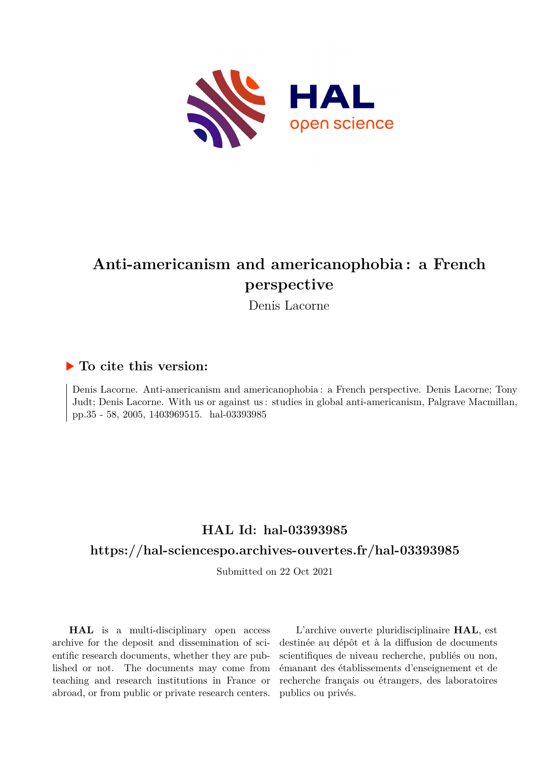

# **Anti-americanism and americanophobia : a French perspective**

Denis Lacorne

### **To cite this version:**

Denis Lacorne. Anti-americanism and americanophobia : a French perspective. Denis Lacorne; Tony Judt; Denis Lacorne. With us or against us : studies in global anti-americanism, Palgrave Macmillan, pp.35 - 58, 2005, 1403969515. hal-03393985

## **HAL Id: hal-03393985**

### **<https://hal-sciencespo.archives-ouvertes.fr/hal-03393985>**

Submitted on 22 Oct 2021

**HAL** is a multi-disciplinary open access archive for the deposit and dissemination of scientific research documents, whether they are published or not. The documents may come from teaching and research institutions in France or abroad, or from public or private research centers.

L'archive ouverte pluridisciplinaire **HAL**, est destinée au dépôt et à la diffusion de documents scientifiques de niveau recherche, publiés ou non, émanant des établissements d'enseignement et de recherche français ou étrangers, des laboratoires publics ou privés.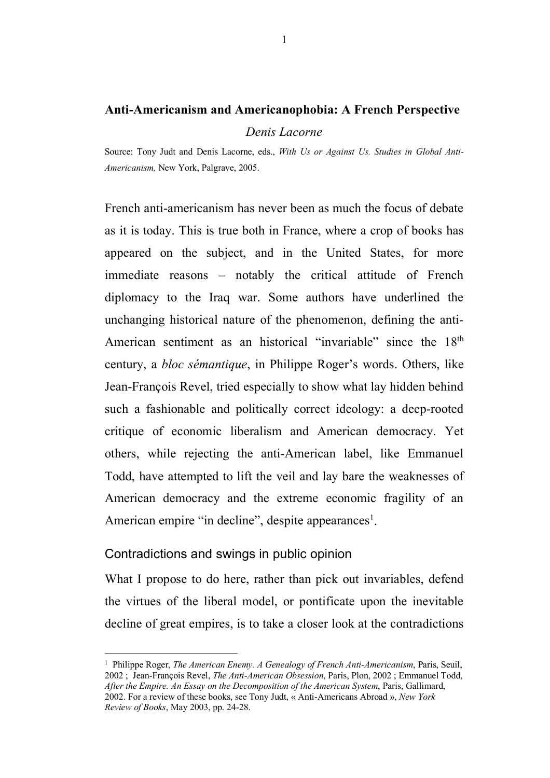#### **Anti-Americanism and Americanophobia: A French Perspective**

*Denis Lacorne*

Source: Tony Judt and Denis Lacorne, eds., *With Us or Against Us. Studies in Global Anti-Americanism,* New York, Palgrave, 2005.

French anti-americanism has never been as much the focus of debate as it is today. This is true both in France, where a crop of books has appeared on the subject, and in the United States, for more immediate reasons – notably the critical attitude of French diplomacy to the Iraq war. Some authors have underlined the unchanging historical nature of the phenomenon, defining the anti-American sentiment as an historical "invariable" since the 18<sup>th</sup> century, a *bloc sémantique*, in Philippe Roger's words. Others, like Jean-François Revel, tried especially to show what lay hidden behind such a fashionable and politically correct ideology: a deep-rooted critique of economic liberalism and American democracy. Yet others, while rejecting the anti-American label, like Emmanuel Todd, have attempted to lift the veil and lay bare the weaknesses of American democracy and the extreme economic fragility of an American empire "in decline", despite appearances<sup>1</sup>.

#### Contradictions and swings in public opinion

What I propose to do here, rather than pick out invariables, defend the virtues of the liberal model, or pontificate upon the inevitable decline of great empires, is to take a closer look at the contradictions

 $\frac{1}{1}$  Philippe Roger, *The American Enemy. A Genealogy of French Anti-Americanism*, Paris, Seuil, 2002 ; Jean-François Revel, *The Anti-American Obsession*, Paris, Plon, 2002 ; Emmanuel Todd, *After the Empire. An Essay on the Decomposition of the American System*, Paris, Gallimard, 2002. For a review of these books, see Tony Judt, « Anti-Americans Abroad », *New York Review of Books*, May 2003, pp. 24-28.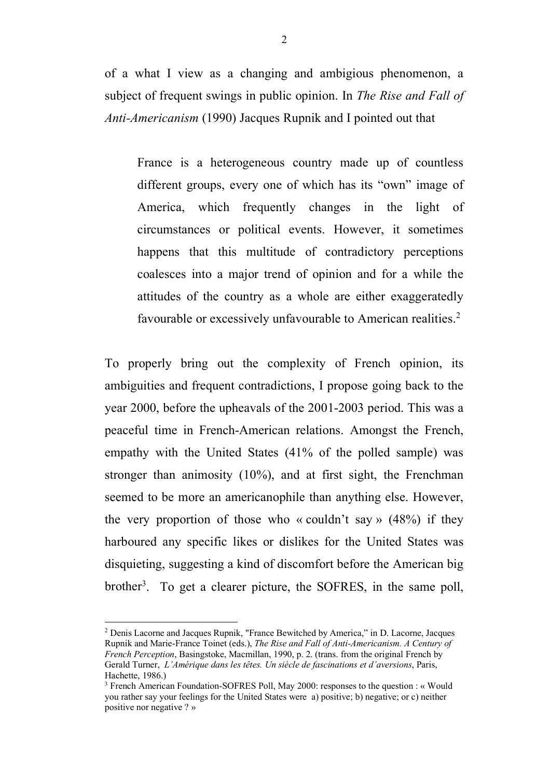of a what I view as a changing and ambigious phenomenon, a subject of frequent swings in public opinion. In *The Rise and Fall of Anti-Americanism* (1990) Jacques Rupnik and I pointed out that

France is a heterogeneous country made up of countless different groups, every one of which has its "own" image of America, which frequently changes in the light of circumstances or political events. However, it sometimes happens that this multitude of contradictory perceptions coalesces into a major trend of opinion and for a while the attitudes of the country as a whole are either exaggeratedly favourable or excessively unfavourable to American realities.<sup>2</sup>

To properly bring out the complexity of French opinion, its ambiguities and frequent contradictions, I propose going back to the year 2000, before the upheavals of the 2001-2003 period. This was a peaceful time in French-American relations. Amongst the French, empathy with the United States (41% of the polled sample) was stronger than animosity (10%), and at first sight, the Frenchman seemed to be more an americanophile than anything else. However, the very proportion of those who « couldn't say »  $(48%)$  if they harboured any specific likes or dislikes for the United States was disquieting, suggesting a kind of discomfort before the American big brother<sup>3</sup>. To get a clearer picture, the SOFRES, in the same poll,

 <sup>2</sup> Denis Lacorne and Jacques Rupnik, "France Bewitched by America," in D. Lacorne, Jacques Rupnik and Marie-France Toinet (eds.), *The Rise and Fall of Anti-Americanism. A Century of French Perception*, Basingstoke, Macmillan, 1990, p. 2. (trans. from the original French by Gerald Turner, *L'Amérique dans les têtes. Un siècle de fascinations et d'aversions*, Paris, Hachette, 1986.)

<sup>&</sup>lt;sup>3</sup> French American Foundation-SOFRES Poll, May 2000: responses to the question : « Would you rather say your feelings for the United States were a) positive; b) negative; or c) neither positive nor negative ? »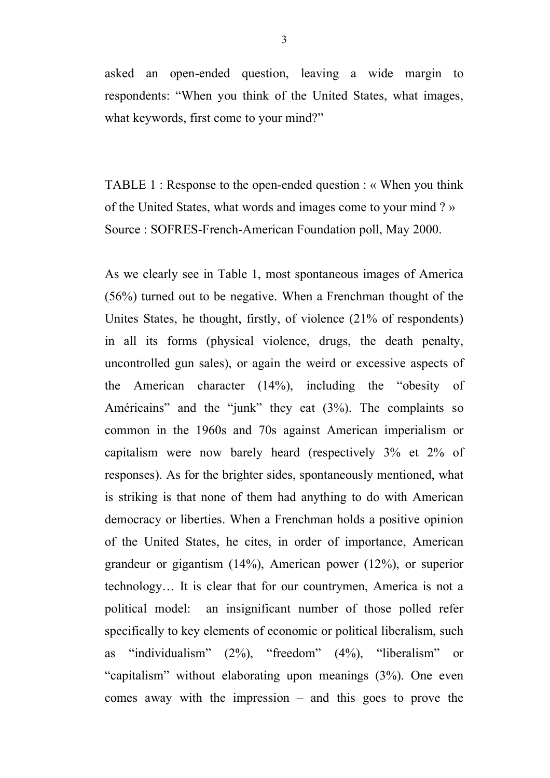asked an open-ended question, leaving a wide margin to respondents: "When you think of the United States, what images, what keywords, first come to your mind?"

TABLE 1 : Response to the open-ended question : « When you think of the United States, what words and images come to your mind ? » Source : SOFRES-French-American Foundation poll, May 2000.

As we clearly see in Table 1, most spontaneous images of America (56%) turned out to be negative. When a Frenchman thought of the Unites States, he thought, firstly, of violence (21% of respondents) in all its forms (physical violence, drugs, the death penalty, uncontrolled gun sales), or again the weird or excessive aspects of the American character (14%), including the "obesity of Américains" and the "junk" they eat (3%). The complaints so common in the 1960s and 70s against American imperialism or capitalism were now barely heard (respectively 3% et 2% of responses). As for the brighter sides, spontaneously mentioned, what is striking is that none of them had anything to do with American democracy or liberties. When a Frenchman holds a positive opinion of the United States, he cites, in order of importance, American grandeur or gigantism (14%), American power (12%), or superior technology… It is clear that for our countrymen, America is not a political model: an insignificant number of those polled refer specifically to key elements of economic or political liberalism, such as "individualism" (2%), "freedom" (4%), "liberalism" or "capitalism" without elaborating upon meanings (3%). One even comes away with the impression – and this goes to prove the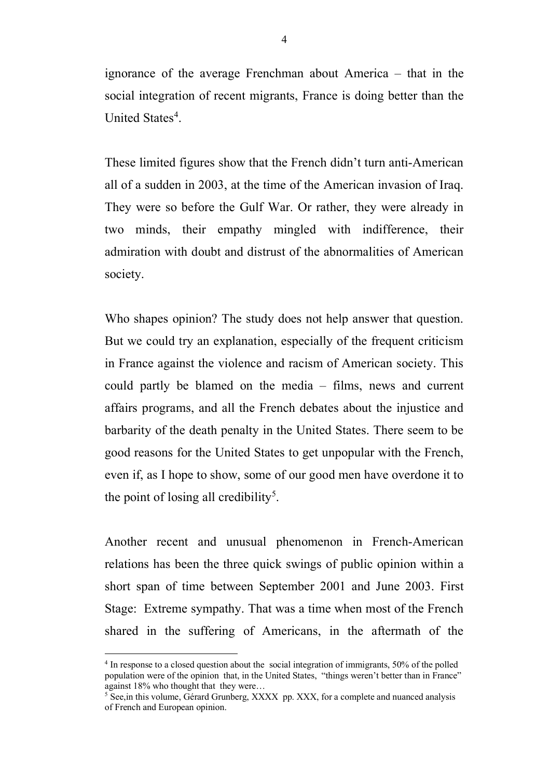ignorance of the average Frenchman about America – that in the social integration of recent migrants, France is doing better than the United States<sup>4</sup>.

These limited figures show that the French didn't turn anti-American all of a sudden in 2003, at the time of the American invasion of Iraq. They were so before the Gulf War. Or rather, they were already in two minds, their empathy mingled with indifference, their admiration with doubt and distrust of the abnormalities of American society.

Who shapes opinion? The study does not help answer that question. But we could try an explanation, especially of the frequent criticism in France against the violence and racism of American society. This could partly be blamed on the media – films, news and current affairs programs, and all the French debates about the injustice and barbarity of the death penalty in the United States. There seem to be good reasons for the United States to get unpopular with the French, even if, as I hope to show, some of our good men have overdone it to the point of losing all credibility<sup>5</sup>.

Another recent and unusual phenomenon in French-American relations has been the three quick swings of public opinion within a short span of time between September 2001 and June 2003. First Stage: Extreme sympathy. That was a time when most of the French shared in the suffering of Americans, in the aftermath of the

<sup>&</sup>lt;sup>4</sup> In response to a closed question about the social integration of immigrants, 50% of the polled population were of the opinion that, in the United States, "things weren't better than in France" against 18% who thought that they were…

<sup>&</sup>lt;sup>5</sup> See, in this volume, Gérard Grunberg, XXXX pp. XXX, for a complete and nuanced analysis of French and European opinion.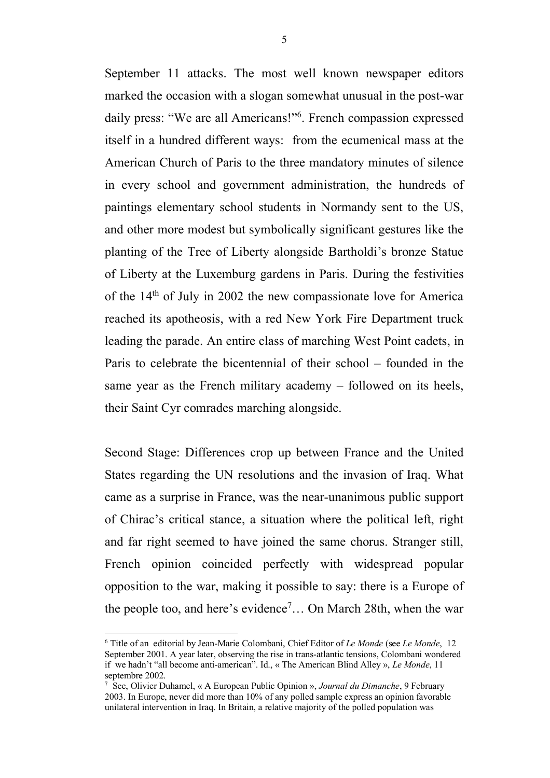September 11 attacks. The most well known newspaper editors marked the occasion with a slogan somewhat unusual in the post-war daily press: "We are all Americans!"<sup>6</sup>. French compassion expressed itself in a hundred different ways: from the ecumenical mass at the American Church of Paris to the three mandatory minutes of silence in every school and government administration, the hundreds of paintings elementary school students in Normandy sent to the US, and other more modest but symbolically significant gestures like the planting of the Tree of Liberty alongside Bartholdi's bronze Statue of Liberty at the Luxemburg gardens in Paris. During the festivities of the 14th of July in 2002 the new compassionate love for America reached its apotheosis, with a red New York Fire Department truck leading the parade. An entire class of marching West Point cadets, in Paris to celebrate the bicentennial of their school – founded in the same year as the French military academy – followed on its heels, their Saint Cyr comrades marching alongside.

Second Stage: Differences crop up between France and the United States regarding the UN resolutions and the invasion of Iraq. What came as a surprise in France, was the near-unanimous public support of Chirac's critical stance, a situation where the political left, right and far right seemed to have joined the same chorus. Stranger still, French opinion coincided perfectly with widespread popular opposition to the war, making it possible to say: there is a Europe of the people too, and here's evidence<sup>7</sup>... On March 28th, when the war

 <sup>6</sup> Title of an editorial by Jean-Marie Colombani, Chief Editor of *Le Monde* (see *Le Monde*, 12 September 2001. A year later, observing the rise in trans-atlantic tensions, Colombani wondered if we hadn't "all become anti-american". Id., « The American Blind Alley », *Le Monde*, 11 septembre 2002.

<sup>7</sup> See, Olivier Duhamel, « A European Public Opinion », *Journal du Dimanche*, 9 February 2003. In Europe, never did more than 10% of any polled sample express an opinion favorable unilateral intervention in Iraq. In Britain, a relative majority of the polled population was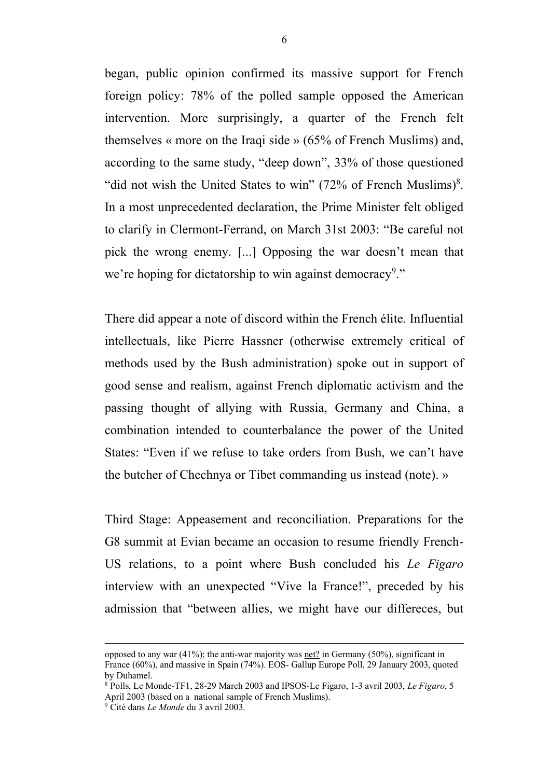began, public opinion confirmed its massive support for French foreign policy: 78% of the polled sample opposed the American intervention. More surprisingly, a quarter of the French felt themselves « more on the Iraqi side » (65% of French Muslims) and, according to the same study, "deep down", 33% of those questioned "did not wish the United States to win"  $(72\% \text{ of French Muslims})^8$ . In a most unprecedented declaration, the Prime Minister felt obliged to clarify in Clermont-Ferrand, on March 31st 2003: "Be careful not pick the wrong enemy. [...] Opposing the war doesn't mean that we're hoping for dictatorship to win against democracy<sup>9</sup>."

There did appear a note of discord within the French élite. Influential intellectuals, like Pierre Hassner (otherwise extremely critical of methods used by the Bush administration) spoke out in support of good sense and realism, against French diplomatic activism and the passing thought of allying with Russia, Germany and China, a combination intended to counterbalance the power of the United States: "Even if we refuse to take orders from Bush, we can't have the butcher of Chechnya or Tibet commanding us instead (note). »

Third Stage: Appeasement and reconciliation. Preparations for the G8 summit at Evian became an occasion to resume friendly French-US relations, to a point where Bush concluded his *Le Figaro* interview with an unexpected "Vive la France!", preceded by his admission that "between allies, we might have our differeces, but

opposed to any war (41%); the anti-war majority was net? in Germany (50%), significant in France (60%), and massive in Spain (74%). EOS- Gallup Europe Poll, 29 January 2003, quoted by Duhamel.

<sup>8</sup> Polls, Le Monde-TF1, 28-29 March 2003 and IPSOS-Le Figaro, 1-3 avril 2003, *Le Figaro*, 5 April 2003 (based on a national sample of French Muslims).

<sup>9</sup> Cité dans *Le Monde* du 3 avril 2003.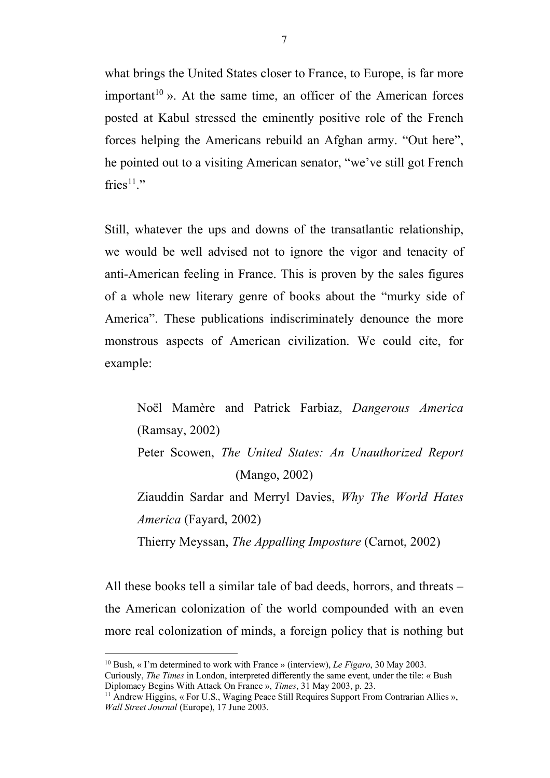what brings the United States closer to France, to Europe, is far more important<sup>10</sup> ». At the same time, an officer of the American forces posted at Kabul stressed the eminently positive role of the French forces helping the Americans rebuild an Afghan army. "Out here", he pointed out to a visiting American senator, "we've still got French fries $1!$ ."

Still, whatever the ups and downs of the transatlantic relationship, we would be well advised not to ignore the vigor and tenacity of anti-American feeling in France. This is proven by the sales figures of a whole new literary genre of books about the "murky side of America". These publications indiscriminately denounce the more monstrous aspects of American civilization. We could cite, for example:

Noël Mamère and Patrick Farbiaz, *Dangerous America* (Ramsay, 2002) Peter Scowen, *The United States: An Unauthorized Report*  (Mango, 2002) Ziauddin Sardar and Merryl Davies, *Why The World Hates America* (Fayard, 2002)

Thierry Meyssan, *The Appalling Imposture* (Carnot, 2002)

All these books tell a similar tale of bad deeds, horrors, and threats – the American colonization of the world compounded with an even more real colonization of minds, a foreign policy that is nothing but

 <sup>10</sup> Bush, « I'm determined to work with France » (interview), *Le Figaro*, 30 May 2003. Curiously, *The Times* in London, interpreted differently the same event, under the tile: « Bush Diplomacy Begins With Attack On France », *Times*, 31 May 2003, p. 23.

<sup>&</sup>lt;sup>11</sup> Andrew Higgins, « For U.S., Waging Peace Still Requires Support From Contrarian Allies », *Wall Street Journal* (Europe), 17 June 2003.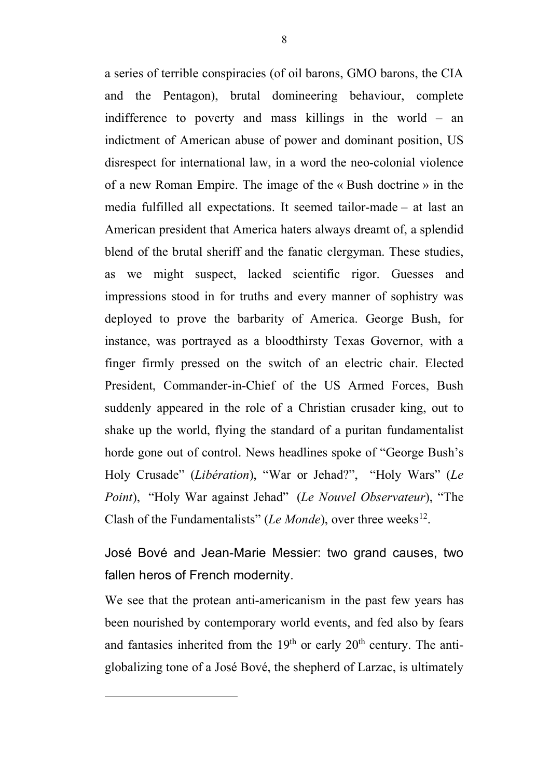a series of terrible conspiracies (of oil barons, GMO barons, the CIA and the Pentagon), brutal domineering behaviour, complete indifference to poverty and mass killings in the world – an indictment of American abuse of power and dominant position, US disrespect for international law, in a word the neo-colonial violence of a new Roman Empire. The image of the « Bush doctrine » in the media fulfilled all expectations. It seemed tailor-made – at last an American president that America haters always dreamt of, a splendid blend of the brutal sheriff and the fanatic clergyman. These studies, as we might suspect, lacked scientific rigor. Guesses and impressions stood in for truths and every manner of sophistry was deployed to prove the barbarity of America. George Bush, for instance, was portrayed as a bloodthirsty Texas Governor, with a finger firmly pressed on the switch of an electric chair. Elected President, Commander-in-Chief of the US Armed Forces, Bush suddenly appeared in the role of a Christian crusader king, out to shake up the world, flying the standard of a puritan fundamentalist horde gone out of control. News headlines spoke of "George Bush's Holy Crusade" (*Libération*), "War or Jehad?", "Holy Wars" (*Le Point*), "Holy War against Jehad" (*Le Nouvel Observateur*), "The Clash of the Fundamentalists" (*Le Monde*), over three weeks<sup>12</sup>.

José Bové and Jean-Marie Messier: two grand causes, two fallen heros of French modernity.

We see that the protean anti-americanism in the past few years has been nourished by contemporary world events, and fed also by fears and fantasies inherited from the  $19<sup>th</sup>$  or early  $20<sup>th</sup>$  century. The antiglobalizing tone of a José Bové, the shepherd of Larzac, is ultimately

 $\overline{a}$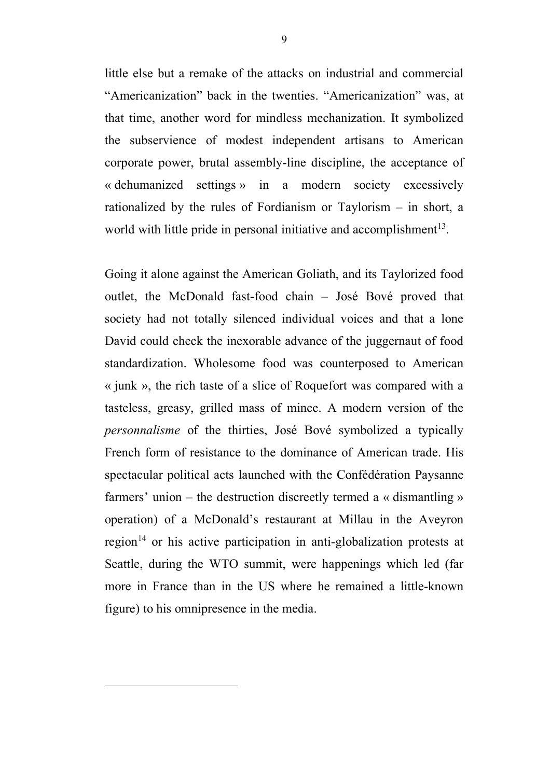little else but a remake of the attacks on industrial and commercial "Americanization" back in the twenties. "Americanization" was, at that time, another word for mindless mechanization. It symbolized the subservience of modest independent artisans to American corporate power, brutal assembly-line discipline, the acceptance of « dehumanized settings » in a modern society excessively rationalized by the rules of Fordianism or Taylorism – in short, a world with little pride in personal initiative and accomplishment<sup>13</sup>.

Going it alone against the American Goliath, and its Taylorized food outlet, the McDonald fast-food chain – José Bové proved that society had not totally silenced individual voices and that a lone David could check the inexorable advance of the juggernaut of food standardization. Wholesome food was counterposed to American « junk », the rich taste of a slice of Roquefort was compared with a tasteless, greasy, grilled mass of mince. A modern version of the *personnalisme* of the thirties, José Bové symbolized a typically French form of resistance to the dominance of American trade. His spectacular political acts launched with the Confédération Paysanne farmers' union – the destruction discreetly termed a « dismantling » operation) of a McDonald's restaurant at Millau in the Aveyron region<sup> $14$ </sup> or his active participation in anti-globalization protests at Seattle, during the WTO summit, were happenings which led (far more in France than in the US where he remained a little-known figure) to his omnipresence in the media.

 $\overline{a}$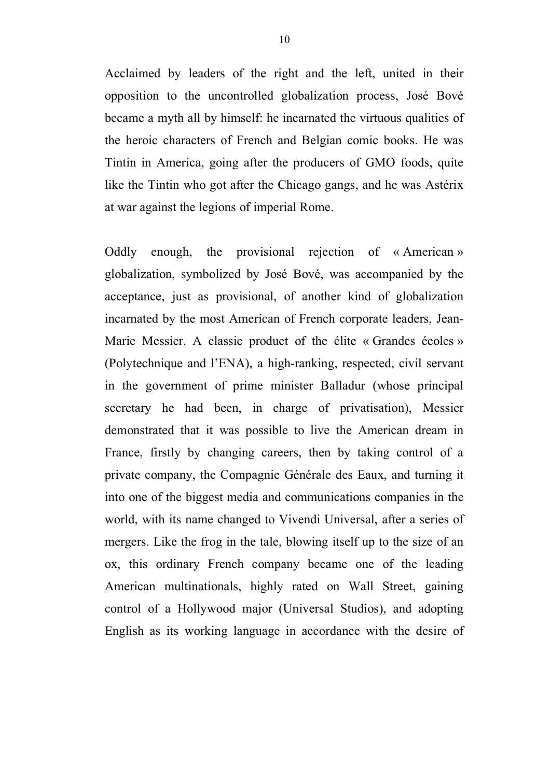Acclaimed by leaders of the right and the left, united in their opposition to the uncontrolled globalization process, José Bové became a myth all by himself: he incarnated the virtuous qualities of the heroic characters of French and Belgian comic books. He was Tintin in America, going after the producers of GMO foods, quite like the Tintin who got after the Chicago gangs, and he was Astérix at war against the legions of imperial Rome.

Oddly enough, the provisional rejection of « American » globalization, symbolized by José Bové, was accompanied by the acceptance, just as provisional, of another kind of globalization incarnated by the most American of French corporate leaders, Jean-Marie Messier. A classic product of the élite « Grandes écoles » (Polytechnique and l'ENA), a high-ranking, respected, civil servant in the government of prime minister Balladur (whose principal secretary he had been, in charge of privatisation), Messier demonstrated that it was possible to live the American dream in France, firstly by changing careers, then by taking control of a private company, the Compagnie Générale des Eaux, and turning it into one of the biggest media and communications companies in the world, with its name changed to Vivendi Universal, after a series of mergers. Like the frog in the tale, blowing itself up to the size of an ox, this ordinary French company became one of the leading American multinationals, highly rated on Wall Street, gaining control of a Hollywood major (Universal Studios), and adopting English as its working language in accordance with the desire of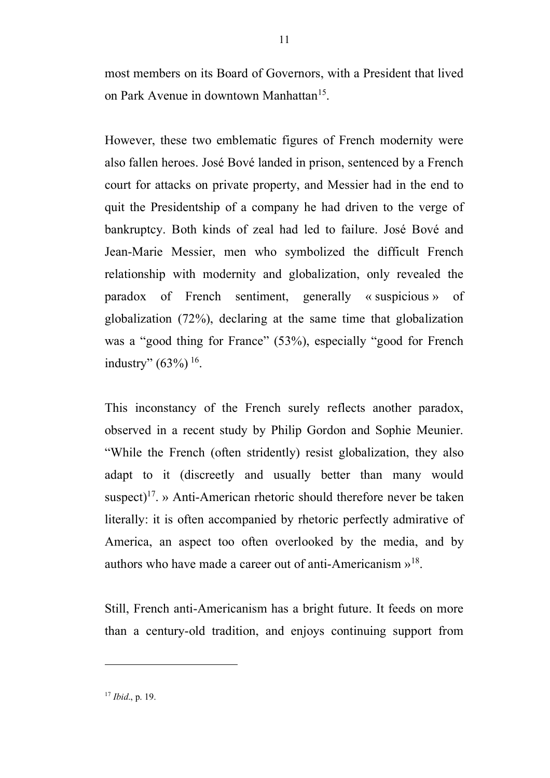most members on its Board of Governors, with a President that lived on Park Avenue in downtown Manhattan<sup>15</sup>.

However, these two emblematic figures of French modernity were also fallen heroes. José Bové landed in prison, sentenced by a French court for attacks on private property, and Messier had in the end to quit the Presidentship of a company he had driven to the verge of bankruptcy. Both kinds of zeal had led to failure. José Bové and Jean-Marie Messier, men who symbolized the difficult French relationship with modernity and globalization, only revealed the paradox of French sentiment, generally « suspicious » of globalization (72%), declaring at the same time that globalization was a "good thing for France" (53%), especially "good for French industry"  $(63\%)$ <sup>16</sup>.

This inconstancy of the French surely reflects another paradox, observed in a recent study by Philip Gordon and Sophie Meunier. "While the French (often stridently) resist globalization, they also adapt to it (discreetly and usually better than many would suspect)<sup>17</sup>. » Anti-American rhetoric should therefore never be taken literally: it is often accompanied by rhetoric perfectly admirative of America, an aspect too often overlooked by the media, and by authors who have made a career out of anti-Americanism  $v^{18}$ .

Still, French anti-Americanism has a bright future. It feeds on more than a century-old tradition, and enjoys continuing support from

 $\overline{a}$ 

<sup>17</sup> *Ibid*., p. 19.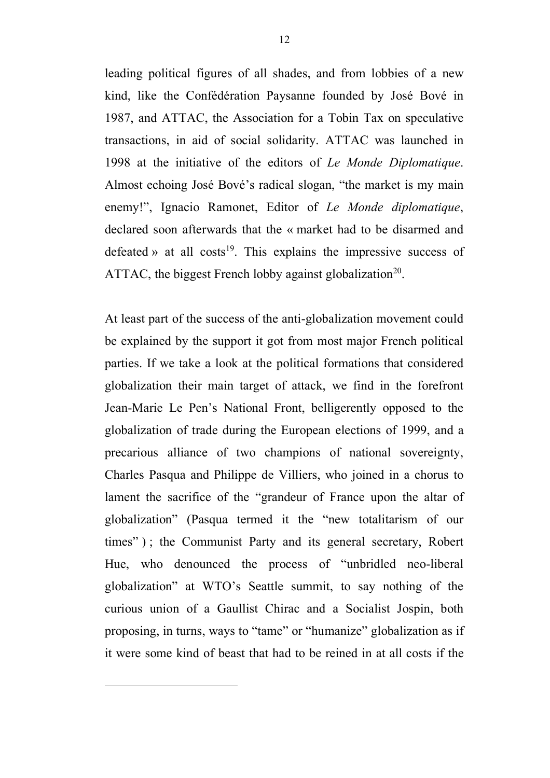leading political figures of all shades, and from lobbies of a new kind, like the Confédération Paysanne founded by José Bové in 1987, and ATTAC, the Association for a Tobin Tax on speculative transactions, in aid of social solidarity. ATTAC was launched in 1998 at the initiative of the editors of *Le Monde Diplomatique*. Almost echoing José Bové's radical slogan, "the market is my main enemy!", Ignacio Ramonet, Editor of *Le Monde diplomatique*, declared soon afterwards that the « market had to be disarmed and defeated » at all costs<sup>19</sup>. This explains the impressive success of ATTAC, the biggest French lobby against globalization<sup>20</sup>.

At least part of the success of the anti-globalization movement could be explained by the support it got from most major French political parties. If we take a look at the political formations that considered globalization their main target of attack, we find in the forefront Jean-Marie Le Pen's National Front, belligerently opposed to the globalization of trade during the European elections of 1999, and a precarious alliance of two champions of national sovereignty, Charles Pasqua and Philippe de Villiers, who joined in a chorus to lament the sacrifice of the "grandeur of France upon the altar of globalization" (Pasqua termed it the "new totalitarism of our times" ) ; the Communist Party and its general secretary, Robert Hue, who denounced the process of "unbridled neo-liberal globalization" at WTO's Seattle summit, to say nothing of the curious union of a Gaullist Chirac and a Socialist Jospin, both proposing, in turns, ways to "tame" or "humanize" globalization as if it were some kind of beast that had to be reined in at all costs if the

 $\overline{a}$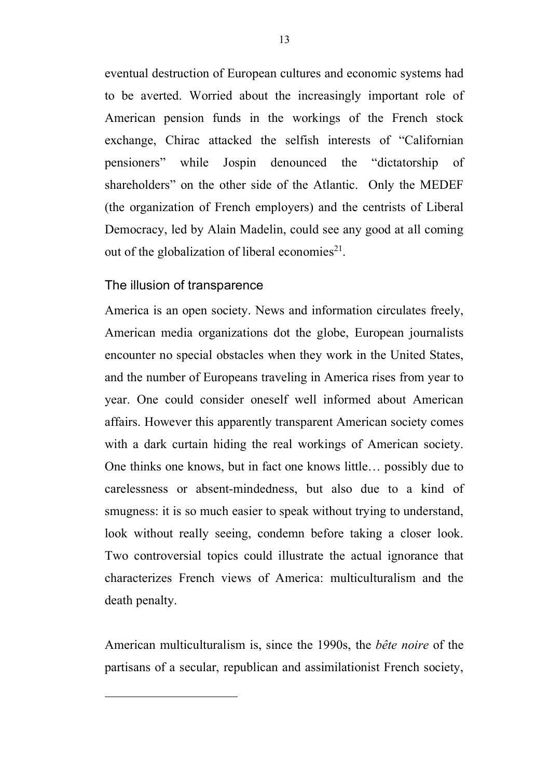eventual destruction of European cultures and economic systems had to be averted. Worried about the increasingly important role of American pension funds in the workings of the French stock exchange, Chirac attacked the selfish interests of "Californian pensioners" while Jospin denounced the "dictatorship of shareholders" on the other side of the Atlantic. Only the MEDEF (the organization of French employers) and the centrists of Liberal Democracy, led by Alain Madelin, could see any good at all coming out of the globalization of liberal economies<sup>21</sup>.

#### The illusion of transparence

 $\overline{a}$ 

America is an open society. News and information circulates freely, American media organizations dot the globe, European journalists encounter no special obstacles when they work in the United States, and the number of Europeans traveling in America rises from year to year. One could consider oneself well informed about American affairs. However this apparently transparent American society comes with a dark curtain hiding the real workings of American society. One thinks one knows, but in fact one knows little… possibly due to carelessness or absent-mindedness, but also due to a kind of smugness: it is so much easier to speak without trying to understand, look without really seeing, condemn before taking a closer look. Two controversial topics could illustrate the actual ignorance that characterizes French views of America: multiculturalism and the death penalty.

American multiculturalism is, since the 1990s, the *bête noire* of the partisans of a secular, republican and assimilationist French society,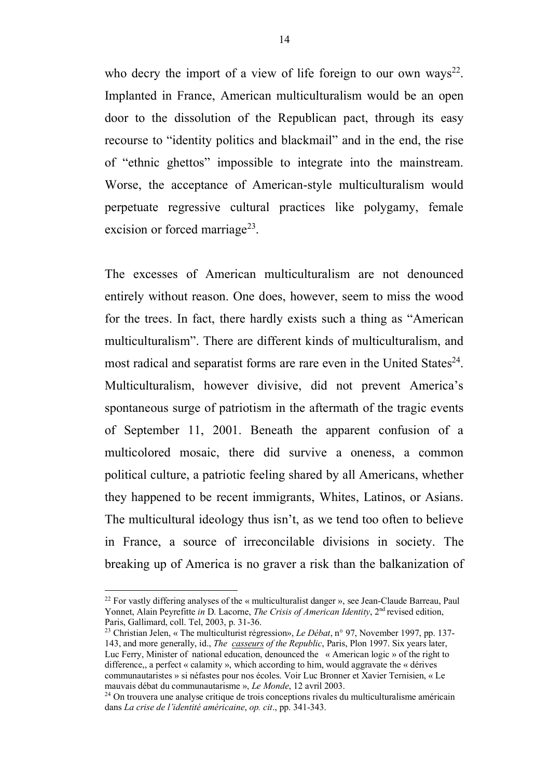who decry the import of a view of life foreign to our own ways<sup>22</sup>. Implanted in France, American multiculturalism would be an open door to the dissolution of the Republican pact, through its easy recourse to "identity politics and blackmail" and in the end, the rise of "ethnic ghettos" impossible to integrate into the mainstream. Worse, the acceptance of American-style multiculturalism would perpetuate regressive cultural practices like polygamy, female excision or forced marriage<sup>23</sup>.

The excesses of American multiculturalism are not denounced entirely without reason. One does, however, seem to miss the wood for the trees. In fact, there hardly exists such a thing as "American multiculturalism". There are different kinds of multiculturalism, and most radical and separatist forms are rare even in the United States $^{24}$ . Multiculturalism, however divisive, did not prevent America's spontaneous surge of patriotism in the aftermath of the tragic events of September 11, 2001. Beneath the apparent confusion of a multicolored mosaic, there did survive a oneness, a common political culture, a patriotic feeling shared by all Americans, whether they happened to be recent immigrants, Whites, Latinos, or Asians. The multicultural ideology thus isn't, as we tend too often to believe in France, a source of irreconcilable divisions in society. The breaking up of America is no graver a risk than the balkanization of

<sup>&</sup>lt;sup>22</sup> For vastly differing analyses of the « multiculturalist danger », see Jean-Claude Barreau, Paul Yonnet, Alain Peyrefitte *in* D. Lacorne, *The Crisis of American Identity*, 2<sup>nd</sup> revised edition, Paris, Gallimard, coll. Tel, 2003, p. 31-36. 23 Christian Jelen, « The multiculturist régression», *Le Débat*, n° 97, November 1997, pp. 137-

<sup>143,</sup> and more generally, id., *The casseurs of the Republic*, Paris, Plon 1997. Six years later, Luc Ferry, Minister of national education, denounced the « American logic » of the right to difference,, a perfect « calamity », which according to him, would aggravate the « dérives communautaristes » si néfastes pour nos écoles. Voir Luc Bronner et Xavier Ternisien, « Le mauvais débat du communautarisme », *Le Monde*, 12 avril 2003.

<sup>&</sup>lt;sup>24</sup> On trouvera une analyse critique de trois conceptions rivales du multiculturalisme américain dans *La crise de l'identité américaine*, *op. cit*., pp. 341-343.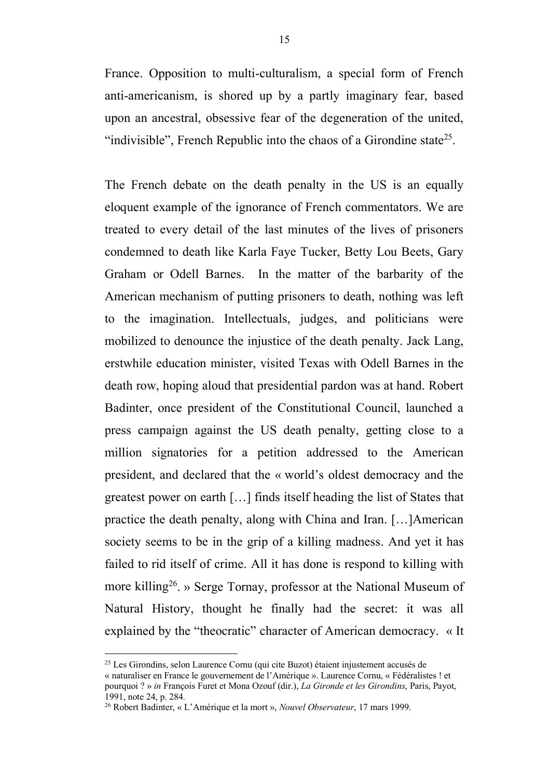France. Opposition to multi-culturalism, a special form of French anti-americanism, is shored up by a partly imaginary fear, based upon an ancestral, obsessive fear of the degeneration of the united, "indivisible", French Republic into the chaos of a Girondine state<sup>25</sup>.

The French debate on the death penalty in the US is an equally eloquent example of the ignorance of French commentators. We are treated to every detail of the last minutes of the lives of prisoners condemned to death like Karla Faye Tucker, Betty Lou Beets, Gary Graham or Odell Barnes. In the matter of the barbarity of the American mechanism of putting prisoners to death, nothing was left to the imagination. Intellectuals, judges, and politicians were mobilized to denounce the injustice of the death penalty. Jack Lang, erstwhile education minister, visited Texas with Odell Barnes in the death row, hoping aloud that presidential pardon was at hand. Robert Badinter, once president of the Constitutional Council, launched a press campaign against the US death penalty, getting close to a million signatories for a petition addressed to the American president, and declared that the « world's oldest democracy and the greatest power on earth […] finds itself heading the list of States that practice the death penalty, along with China and Iran. […]American society seems to be in the grip of a killing madness. And yet it has failed to rid itself of crime. All it has done is respond to killing with more killing<sup>26</sup>. » Serge Tornay, professor at the National Museum of Natural History, thought he finally had the secret: it was all explained by the "theocratic" character of American democracy. « It

 <sup>25</sup> Les Girondins, selon Laurence Cornu (qui cite Buzot) étaient injustement accusés de « naturaliser en France le gouvernement de l'Amérique ». Laurence Cornu, « Fédéralistes ! et pourquoi ? » *in* François Furet et Mona Ozouf (dir.), *La Gironde et les Girondins*, Paris, Payot, 1991, note 24, p. 284.

<sup>26</sup> Robert Badinter, « L'Amérique et la mort », *Nouvel Observateur*, 17 mars 1999.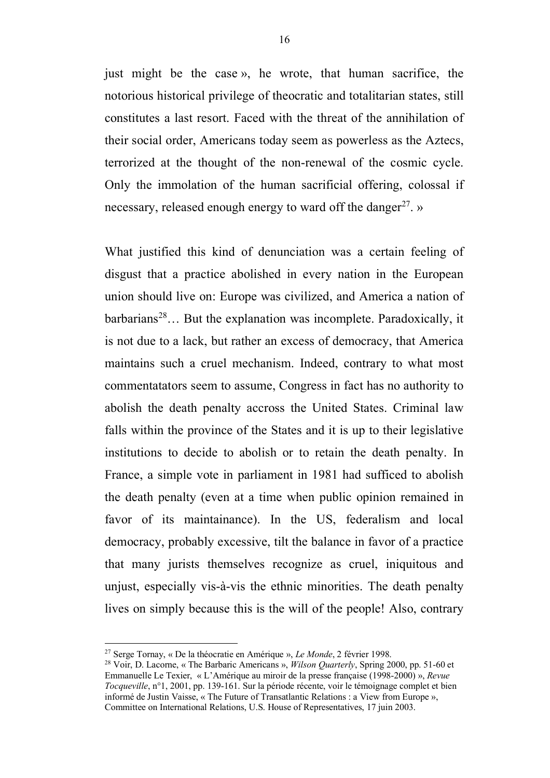just might be the case », he wrote, that human sacrifice, the notorious historical privilege of theocratic and totalitarian states, still constitutes a last resort. Faced with the threat of the annihilation of their social order, Americans today seem as powerless as the Aztecs, terrorized at the thought of the non-renewal of the cosmic cycle. Only the immolation of the human sacrificial offering, colossal if necessary, released enough energy to ward off the danger<sup>27</sup>. »

What justified this kind of denunciation was a certain feeling of disgust that a practice abolished in every nation in the European union should live on: Europe was civilized, and America a nation of barbarians<sup>28</sup>... But the explanation was incomplete. Paradoxically, it is not due to a lack, but rather an excess of democracy, that America maintains such a cruel mechanism. Indeed, contrary to what most commentatators seem to assume, Congress in fact has no authority to abolish the death penalty accross the United States. Criminal law falls within the province of the States and it is up to their legislative institutions to decide to abolish or to retain the death penalty. In France, a simple vote in parliament in 1981 had sufficed to abolish the death penalty (even at a time when public opinion remained in favor of its maintainance). In the US, federalism and local democracy, probably excessive, tilt the balance in favor of a practice that many jurists themselves recognize as cruel, iniquitous and unjust, especially vis-à-vis the ethnic minorities. The death penalty lives on simply because this is the will of the people! Also, contrary

 <sup>27</sup> Serge Tornay, « De la théocratie en Amérique », *Le Monde*, 2 février 1998.

<sup>28</sup> Voir, D. Lacorne, « The Barbaric Americans », *Wilson Quarterly*, Spring 2000, pp. 51-60 et Emmanuelle Le Texier, « L'Amérique au miroir de la presse française (1998-2000) », *Revue Tocqueville*, n°1, 2001, pp. 139-161. Sur la période récente, voir le témoignage complet et bien informé de Justin Vaisse, « The Future of Transatlantic Relations : a View from Europe », Committee on International Relations, U.S. House of Representatives, 17 juin 2003.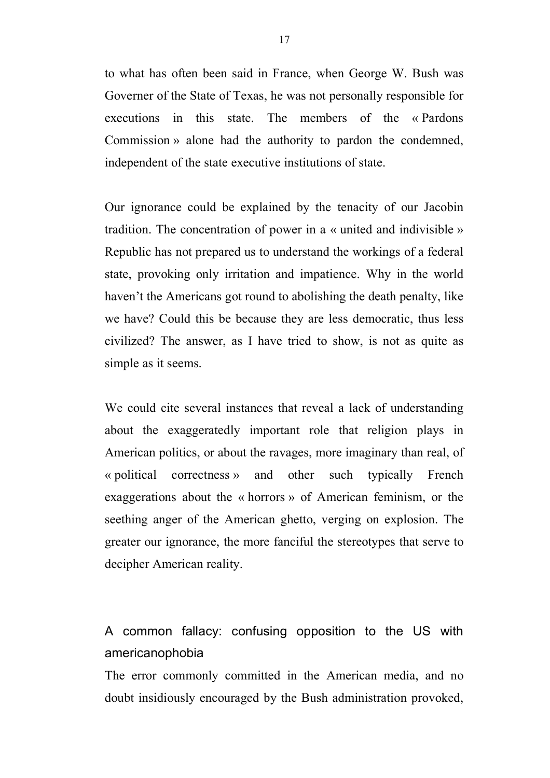to what has often been said in France, when George W. Bush was Governer of the State of Texas, he was not personally responsible for executions in this state. The members of the « Pardons Commission » alone had the authority to pardon the condemned, independent of the state executive institutions of state.

Our ignorance could be explained by the tenacity of our Jacobin tradition. The concentration of power in a « united and indivisible » Republic has not prepared us to understand the workings of a federal state, provoking only irritation and impatience. Why in the world haven't the Americans got round to abolishing the death penalty, like we have? Could this be because they are less democratic, thus less civilized? The answer, as I have tried to show, is not as quite as simple as it seems.

We could cite several instances that reveal a lack of understanding about the exaggeratedly important role that religion plays in American politics, or about the ravages, more imaginary than real, of « political correctness » and other such typically French exaggerations about the « horrors » of American feminism, or the seething anger of the American ghetto, verging on explosion. The greater our ignorance, the more fanciful the stereotypes that serve to decipher American reality.

## A common fallacy: confusing opposition to the US with americanophobia

The error commonly committed in the American media, and no doubt insidiously encouraged by the Bush administration provoked,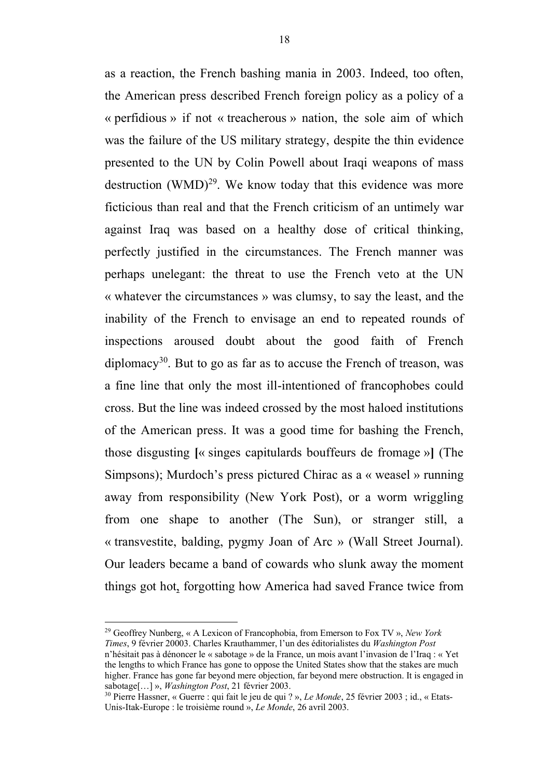as a reaction, the French bashing mania in 2003. Indeed, too often, the American press described French foreign policy as a policy of a « perfidious » if not « treacherous » nation, the sole aim of which was the failure of the US military strategy, despite the thin evidence presented to the UN by Colin Powell about Iraqi weapons of mass destruction  $(WMD)^{29}$ . We know today that this evidence was more ficticious than real and that the French criticism of an untimely war against Iraq was based on a healthy dose of critical thinking, perfectly justified in the circumstances. The French manner was perhaps unelegant: the threat to use the French veto at the UN « whatever the circumstances » was clumsy, to say the least, and the inability of the French to envisage an end to repeated rounds of inspections aroused doubt about the good faith of French diplomacy<sup>30</sup>. But to go as far as to accuse the French of treason, was a fine line that only the most ill-intentioned of francophobes could cross. But the line was indeed crossed by the most haloed institutions of the American press. It was a good time for bashing the French, those disgusting **[**« singes capitulards bouffeurs de fromage »**]** (The Simpsons); Murdoch's press pictured Chirac as a « weasel » running away from responsibility (New York Post), or a worm wriggling from one shape to another (The Sun), or stranger still, a « transvestite, balding, pygmy Joan of Arc » (Wall Street Journal). Our leaders became a band of cowards who slunk away the moment things got hot, forgotting how America had saved France twice from

 <sup>29</sup> Geoffrey Nunberg, « A Lexicon of Francophobia, from Emerson to Fox TV », *New York Times*, 9 février 20003. Charles Krauthammer, l'un des éditorialistes du *Washington Post*  n'hésitait pas à dénoncer le « sabotage » de la France, un mois avant l'invasion de l'Iraq : « Yet the lengths to which France has gone to oppose the United States show that the stakes are much higher. France has gone far beyond mere objection, far beyond mere obstruction. It is engaged in sabotage[…] », *Washington Post*, 21 février 2003.

<sup>30</sup> Pierre Hassner, « Guerre : qui fait le jeu de qui ? », *Le Monde*, 25 février 2003 ; id., « Etats-Unis-Itak-Europe : le troisième round », *Le Monde*, 26 avril 2003.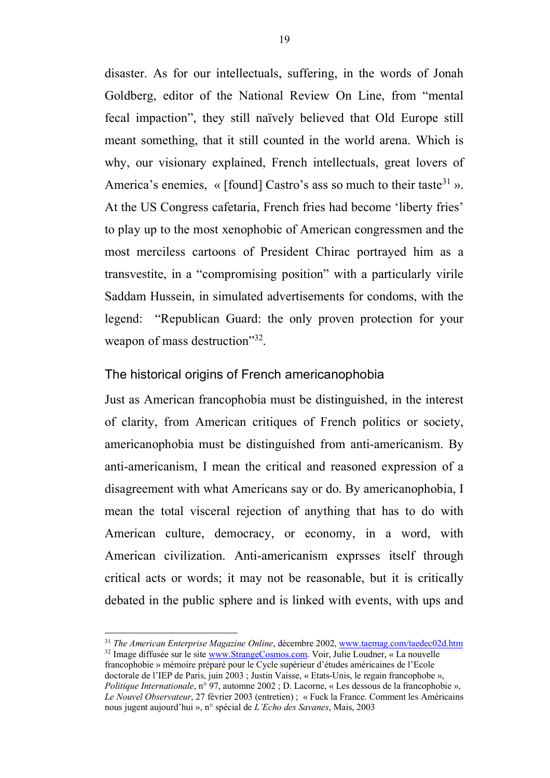disaster. As for our intellectuals, suffering, in the words of Jonah Goldberg, editor of the National Review On Line, from "mental fecal impaction", they still naïvely believed that Old Europe still meant something, that it still counted in the world arena. Which is why, our visionary explained, French intellectuals, great lovers of America's enemies,  $\ll$  [found] Castro's ass so much to their taste<sup>31</sup> ». At the US Congress cafetaria, French fries had become 'liberty fries' to play up to the most xenophobic of American congressmen and the most merciless cartoons of President Chirac portrayed him as a transvestite, in a "compromising position" with a particularly virile Saddam Hussein, in simulated advertisements for condoms, with the legend: "Republican Guard: the only proven protection for your weapon of mass destruction"<sup>32</sup>.

#### The historical origins of French americanophobia

Just as American francophobia must be distinguished, in the interest of clarity, from American critiques of French politics or society, americanophobia must be distinguished from anti-americanism. By anti-americanism, I mean the critical and reasoned expression of a disagreement with what Americans say or do. By americanophobia, I mean the total visceral rejection of anything that has to do with American culture, democracy, or economy, in a word, with American civilization. Anti-americanism exprsses itself through critical acts or words; it may not be reasonable, but it is critically debated in the public sphere and is linked with events, with ups and

 31 *The American Enterprise Magazine Online*, décembre 2002, www.taemag.com/taedec02d.htm <sup>32</sup> Image diffusée sur le site www.StrangeCosmos.com. Voir, Julie Loudner, « La nouvelle francophobie » mémoire préparé pour le Cycle supérieur d'études américaines de l'Ecole doctorale de l'IEP de Paris, juin 2003 ; Justin Vaisse, « Etats-Unis, le regain francophobe », *Politique Internationale*, n° 97, automne 2002 ; D. Lacorne, « Les dessous de la francophobie », *Le Nouvel Observateur*, 27 février 2003 (entretien) ; « Fuck la France. Comment les Américains nous jugent aujourd'hui », n° spécial de *L'Echo des Savanes*, Mais, 2003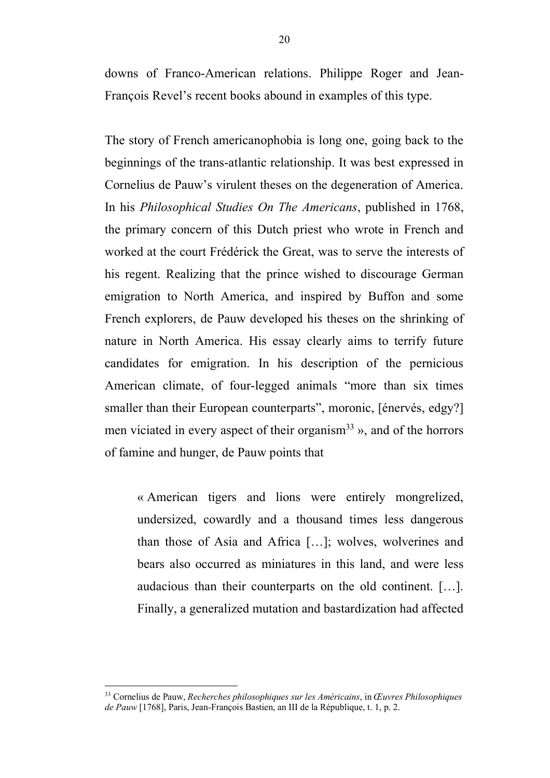downs of Franco-American relations. Philippe Roger and Jean-François Revel's recent books abound in examples of this type.

The story of French americanophobia is long one, going back to the beginnings of the trans-atlantic relationship. It was best expressed in Cornelius de Pauw's virulent theses on the degeneration of America. In his *Philosophical Studies On The Americans*, published in 1768, the primary concern of this Dutch priest who wrote in French and worked at the court Frédérick the Great, was to serve the interests of his regent. Realizing that the prince wished to discourage German emigration to North America, and inspired by Buffon and some French explorers, de Pauw developed his theses on the shrinking of nature in North America. His essay clearly aims to terrify future candidates for emigration. In his description of the pernicious American climate, of four-legged animals "more than six times smaller than their European counterparts", moronic, [énervés, edgy?] men viciated in every aspect of their organism<sup>33</sup> », and of the horrors of famine and hunger, de Pauw points that

« American tigers and lions were entirely mongrelized, undersized, cowardly and a thousand times less dangerous than those of Asia and Africa […]; wolves, wolverines and bears also occurred as miniatures in this land, and were less audacious than their counterparts on the old continent. […]. Finally, a generalized mutation and bastardization had affected

 <sup>33</sup> Cornelius de Pauw, *Recherches philosophiques sur les Américains*, in *Œuvres Philosophiques de Pauw* [1768], Paris, Jean-François Bastien, an III de la République, t. 1, p. 2.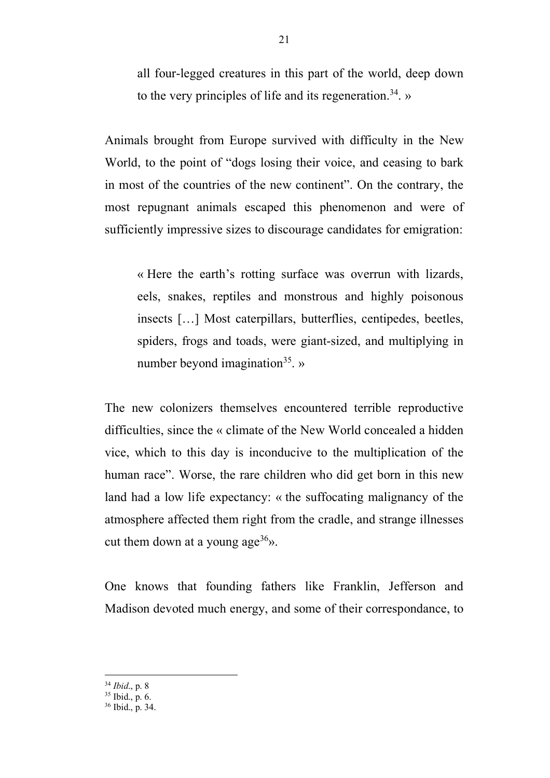all four-legged creatures in this part of the world, deep down to the very principles of life and its regeneration.<sup>34</sup>. »

Animals brought from Europe survived with difficulty in the New World, to the point of "dogs losing their voice, and ceasing to bark in most of the countries of the new continent". On the contrary, the most repugnant animals escaped this phenomenon and were of sufficiently impressive sizes to discourage candidates for emigration:

« Here the earth's rotting surface was overrun with lizards, eels, snakes, reptiles and monstrous and highly poisonous insects […] Most caterpillars, butterflies, centipedes, beetles, spiders, frogs and toads, were giant-sized, and multiplying in number beyond imagination<sup>35</sup>. »

The new colonizers themselves encountered terrible reproductive difficulties, since the « climate of the New World concealed a hidden vice, which to this day is inconducive to the multiplication of the human race". Worse, the rare children who did get born in this new land had a low life expectancy: « the suffocating malignancy of the atmosphere affected them right from the cradle, and strange illnesses cut them down at a young age<sup>36</sup>».

One knows that founding fathers like Franklin, Jefferson and Madison devoted much energy, and some of their correspondance, to

<sup>34</sup> *Ibid.*, p. 8<br><sup>35</sup> Ibid., p. 6.

<sup>&</sup>lt;sup>36</sup> Ibid., p. 34.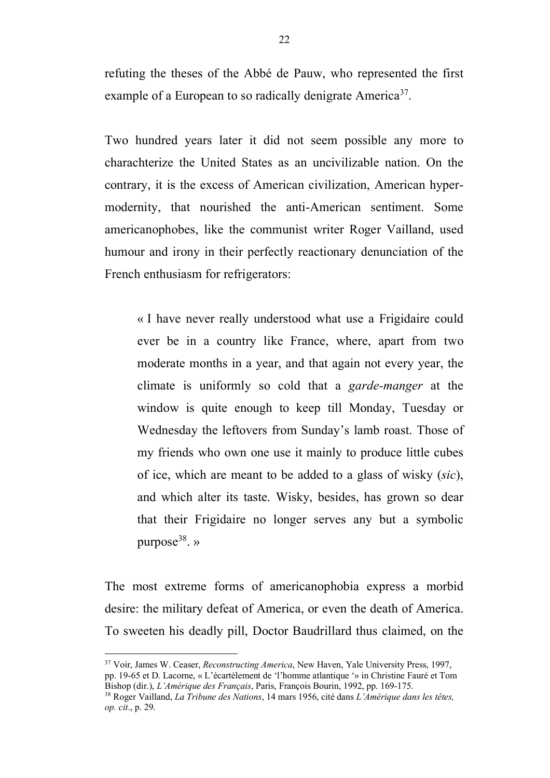refuting the theses of the Abbé de Pauw, who represented the first example of a European to so radically denigrate America<sup>37</sup>.

Two hundred years later it did not seem possible any more to charachterize the United States as an uncivilizable nation. On the contrary, it is the excess of American civilization, American hypermodernity, that nourished the anti-American sentiment. Some americanophobes, like the communist writer Roger Vailland, used humour and irony in their perfectly reactionary denunciation of the French enthusiasm for refrigerators:

« I have never really understood what use a Frigidaire could ever be in a country like France, where, apart from two moderate months in a year, and that again not every year, the climate is uniformly so cold that a *garde-manger* at the window is quite enough to keep till Monday, Tuesday or Wednesday the leftovers from Sunday's lamb roast. Those of my friends who own one use it mainly to produce little cubes of ice, which are meant to be added to a glass of wisky (*sic*), and which alter its taste. Wisky, besides, has grown so dear that their Frigidaire no longer serves any but a symbolic purpose<sup>38</sup>. »

The most extreme forms of americanophobia express a morbid desire: the military defeat of America, or even the death of America. To sweeten his deadly pill, Doctor Baudrillard thus claimed, on the

 <sup>37</sup> Voir, James W. Ceaser, *Reconstructing America*, New Haven, Yale University Press, 1997, pp. 19-65 et D. Lacorne, « L'écartèlement de 'l'homme atlantique '» in Christine Fauré et Tom<br>Bishop (dir.), L'Amérique des Français, Paris, François Bourin, 1992, pp. 169-175.

Bishop (dir.), *L'Amérique des Français*, Paris, François Bourin, 1992, pp. 169-175. 38 Roger Vailland, *La Tribune des Nations*, 14 mars 1956, cité dans *L'Amérique dans les têtes, op. cit*., p. 29.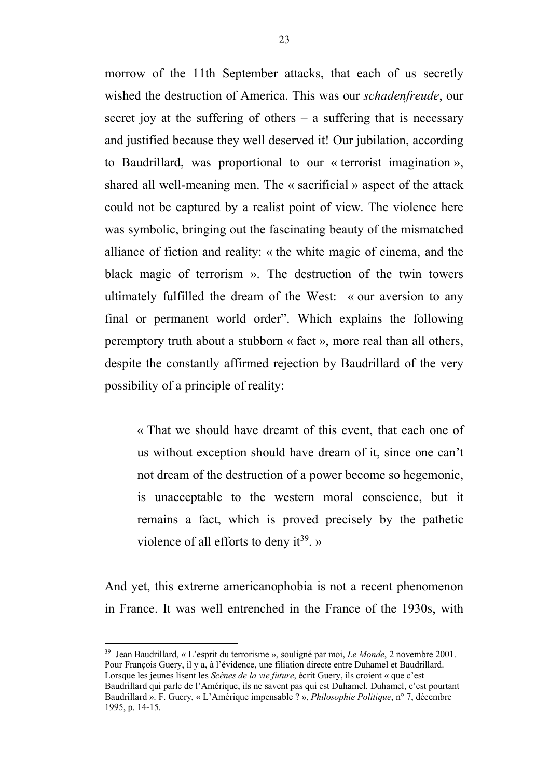morrow of the 11th September attacks, that each of us secretly wished the destruction of America. This was our *schadenfreude*, our secret joy at the suffering of others  $-$  a suffering that is necessary and justified because they well deserved it! Our jubilation, according to Baudrillard, was proportional to our « terrorist imagination », shared all well-meaning men. The « sacrificial » aspect of the attack could not be captured by a realist point of view. The violence here was symbolic, bringing out the fascinating beauty of the mismatched alliance of fiction and reality: « the white magic of cinema, and the black magic of terrorism ». The destruction of the twin towers ultimately fulfilled the dream of the West: « our aversion to any final or permanent world order". Which explains the following peremptory truth about a stubborn « fact », more real than all others, despite the constantly affirmed rejection by Baudrillard of the very possibility of a principle of reality:

« That we should have dreamt of this event, that each one of us without exception should have dream of it, since one can't not dream of the destruction of a power become so hegemonic, is unacceptable to the western moral conscience, but it remains a fact, which is proved precisely by the pathetic violence of all efforts to deny it<sup>39</sup>. »

And yet, this extreme americanophobia is not a recent phenomenon in France. It was well entrenched in the France of the 1930s, with

 <sup>39</sup> Jean Baudrillard, « L'esprit du terrorisme », souligné par moi, *Le Monde*, 2 novembre 2001. Pour François Guery, il y a, à l'évidence, une filiation directe entre Duhamel et Baudrillard. Lorsque les jeunes lisent les *Scènes de la vie future*, écrit Guery, ils croient « que c'est Baudrillard qui parle de l'Amérique, ils ne savent pas qui est Duhamel. Duhamel, c'est pourtant Baudrillard ». F. Guery, « L'Amérique impensable ? », *Philosophie Politique*, n° 7, décembre 1995, p. 14-15.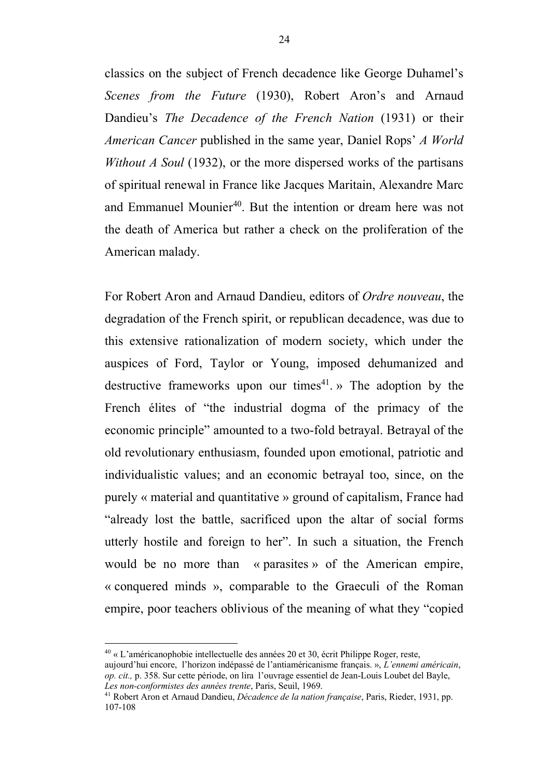classics on the subject of French decadence like George Duhamel's *Scenes from the Future* (1930), Robert Aron's and Arnaud Dandieu's *The Decadence of the French Nation* (1931) or their *American Cancer* published in the same year, Daniel Rops' *A World Without A Soul* (1932), or the more dispersed works of the partisans of spiritual renewal in France like Jacques Maritain, Alexandre Marc and Emmanuel Mounier<sup>40</sup>. But the intention or dream here was not the death of America but rather a check on the proliferation of the American malady.

For Robert Aron and Arnaud Dandieu, editors of *Ordre nouveau*, the degradation of the French spirit, or republican decadence, was due to this extensive rationalization of modern society, which under the auspices of Ford, Taylor or Young, imposed dehumanized and destructive frameworks upon our times<sup>41</sup>. » The adoption by the French élites of "the industrial dogma of the primacy of the economic principle" amounted to a two-fold betrayal. Betrayal of the old revolutionary enthusiasm, founded upon emotional, patriotic and individualistic values; and an economic betrayal too, since, on the purely « material and quantitative » ground of capitalism, France had "already lost the battle, sacrificed upon the altar of social forms utterly hostile and foreign to her". In such a situation, the French would be no more than « parasites » of the American empire, « conquered minds », comparable to the Graeculi of the Roman empire, poor teachers oblivious of the meaning of what they "copied

 $40 \times L$ 'américanophobie intellectuelle des années 20 et 30, écrit Philippe Roger, reste, aujourd'hui encore, l'horizon indépassé de l'antiaméricanisme français. », *L'ennemi américain*,

*op. cit.,* p. 358. Sur cette période, on lira l'ouvrage essentiel de Jean-Louis Loubet del Bayle, *Les non-conformistes des années trente*, Paris, Seuil, 1969.

<sup>41</sup> Robert Aron et Arnaud Dandieu, *Décadence de la nation française*, Paris, Rieder, 1931, pp. 107-108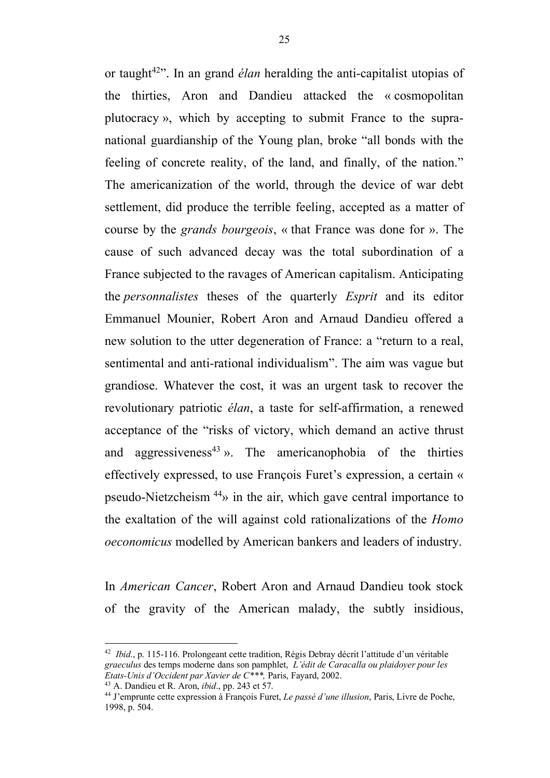or taught<sup>42</sup>. In an grand *élan* heralding the anti-capitalist utopias of the thirties, Aron and Dandieu attacked the « cosmopolitan plutocracy », which by accepting to submit France to the supranational guardianship of the Young plan, broke "all bonds with the feeling of concrete reality, of the land, and finally, of the nation." The americanization of the world, through the device of war debt settlement, did produce the terrible feeling, accepted as a matter of course by the *grands bourgeois*, « that France was done for ». The cause of such advanced decay was the total subordination of a France subjected to the ravages of American capitalism. Anticipating the *personnalistes* theses of the quarterly *Esprit* and its editor Emmanuel Mounier, Robert Aron and Arnaud Dandieu offered a new solution to the utter degeneration of France: a "return to a real, sentimental and anti-rational individualism". The aim was vague but grandiose. Whatever the cost, it was an urgent task to recover the revolutionary patriotic *élan*, a taste for self-affirmation, a renewed acceptance of the "risks of victory, which demand an active thrust and aggressiveness<sup>43</sup> ». The americanophobia of the thirties effectively expressed, to use François Furet's expression, a certain « pseudo-Nietzcheism 44» in the air, which gave central importance to the exaltation of the will against cold rationalizations of the *Homo oeconomicus* modelled by American bankers and leaders of industry.

In *American Cancer*, Robert Aron and Arnaud Dandieu took stock of the gravity of the American malady, the subtly insidious,

 <sup>42</sup> *Ibid*., p. 115-116. Prolongeant cette tradition, Régis Debray décrit l'attitude d'un véritable *graeculus* des temps moderne dans son pamphlet, *L'édit de Caracalla ou plaidoyer pour les Etats-Unis d'Occident par Xavier de C\*\*\*,* Paris, Fayard, 2002.

<sup>43</sup> A. Dandieu et R. Aron, *ibid*., pp. 243 et 57.

<sup>44</sup> J'emprunte cette expression à François Furet, *Le passé d'une illusion*, Paris, Livre de Poche, 1998, p. 504.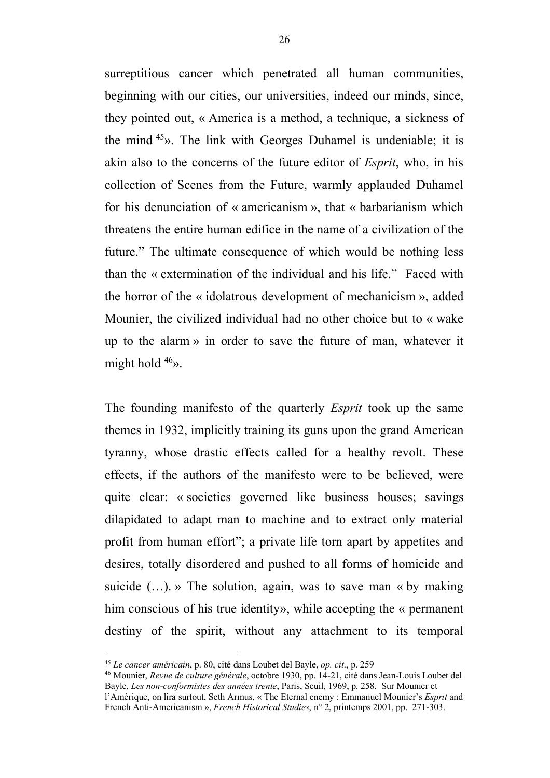surreptitious cancer which penetrated all human communities, beginning with our cities, our universities, indeed our minds, since, they pointed out, « America is a method, a technique, a sickness of the mind  $45$ ». The link with Georges Duhamel is undeniable; it is akin also to the concerns of the future editor of *Esprit*, who, in his collection of Scenes from the Future, warmly applauded Duhamel for his denunciation of « americanism », that « barbarianism which threatens the entire human edifice in the name of a civilization of the future." The ultimate consequence of which would be nothing less than the « extermination of the individual and his life." Faced with the horror of the « idolatrous development of mechanicism », added Mounier, the civilized individual had no other choice but to « wake up to the alarm » in order to save the future of man, whatever it might hold  $46$ ».

The founding manifesto of the quarterly *Esprit* took up the same themes in 1932, implicitly training its guns upon the grand American tyranny, whose drastic effects called for a healthy revolt. These effects, if the authors of the manifesto were to be believed, were quite clear: « societies governed like business houses; savings dilapidated to adapt man to machine and to extract only material profit from human effort"; a private life torn apart by appetites and desires, totally disordered and pushed to all forms of homicide and suicide  $(...)$ . » The solution, again, was to save man « by making him conscious of his true identity», while accepting the « permanent destiny of the spirit, without any attachment to its temporal

 <sup>45</sup> *Le cancer américain*, p. 80, cité dans Loubet del Bayle, *op. cit*., p. 259

<sup>46</sup> Mounier, *Revue de culture générale*, octobre 1930, pp. 14-21, cité dans Jean-Louis Loubet del Bayle, *Les non-conformistes des années trente*, Paris, Seuil, 1969, p. 258. Sur Mounier et l'Amérique, on lira surtout, Seth Armus, « The Eternal enemy : Emmanuel Mounier's *Esprit* and French Anti-Americanism », *French Historical Studies*, n° 2, printemps 2001, pp. 271-303.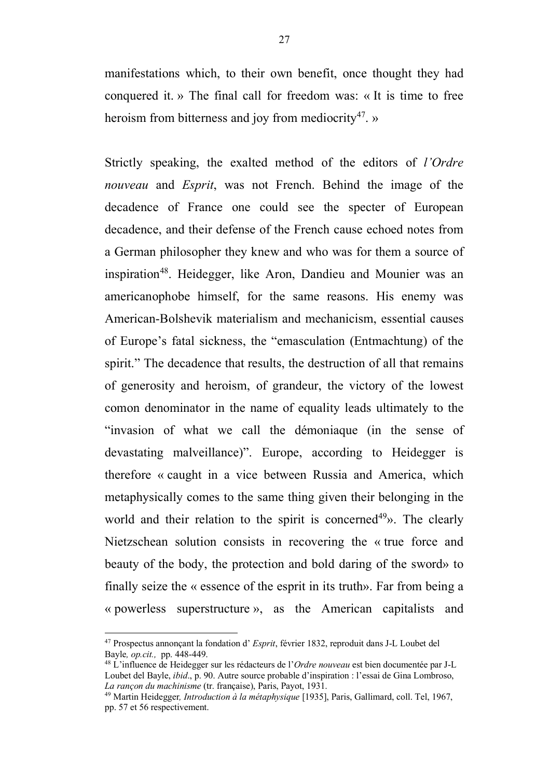manifestations which, to their own benefit, once thought they had conquered it. » The final call for freedom was: « It is time to free heroism from bitterness and joy from mediocrity<sup>47</sup>. »

Strictly speaking, the exalted method of the editors of *l'Ordre nouveau* and *Esprit*, was not French. Behind the image of the decadence of France one could see the specter of European decadence, and their defense of the French cause echoed notes from a German philosopher they knew and who was for them a source of inspiration<sup>48</sup>. Heidegger, like Aron, Dandieu and Mounier was an americanophobe himself, for the same reasons. His enemy was American-Bolshevik materialism and mechanicism, essential causes of Europe's fatal sickness, the "emasculation (Entmachtung) of the spirit." The decadence that results, the destruction of all that remains of generosity and heroism, of grandeur, the victory of the lowest comon denominator in the name of equality leads ultimately to the "invasion of what we call the démoniaque (in the sense of devastating malveillance)". Europe, according to Heidegger is therefore « caught in a vice between Russia and America, which metaphysically comes to the same thing given their belonging in the world and their relation to the spirit is concerned<sup>49</sup>». The clearly Nietzschean solution consists in recovering the « true force and beauty of the body, the protection and bold daring of the sword» to finally seize the « essence of the esprit in its truth». Far from being a « powerless superstructure », as the American capitalists and

 <sup>47</sup> Prospectus annonçant la fondation d' *Esprit*, février 1832, reproduit dans J-L Loubet del Bayle*, op.cit.,* pp. 448-449.

<sup>48</sup> L'influence de Heidegger sur les rédacteurs de l'*Ordre nouveau* est bien documentée par J-L Loubet del Bayle, *ibid*., p. 90. Autre source probable d'inspiration : l'essai de Gina Lombroso, *La rançon du machinisme* (tr. française), Paris, Payot, 1931.

<sup>49</sup> Martin Heidegger*, Introduction à la métaphysique* [1935], Paris, Gallimard, coll. Tel, 1967, pp. 57 et 56 respectivement.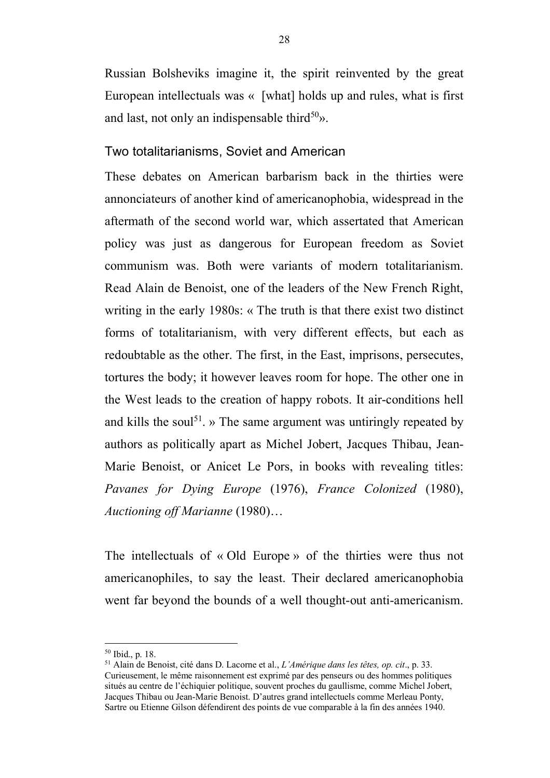Russian Bolsheviks imagine it, the spirit reinvented by the great European intellectuals was « [what] holds up and rules, what is first and last, not only an indispensable third<sup>50</sup>».

#### Two totalitarianisms, Soviet and American

These debates on American barbarism back in the thirties were annonciateurs of another kind of americanophobia, widespread in the aftermath of the second world war, which assertated that American policy was just as dangerous for European freedom as Soviet communism was. Both were variants of modern totalitarianism. Read Alain de Benoist, one of the leaders of the New French Right, writing in the early 1980s: « The truth is that there exist two distinct forms of totalitarianism, with very different effects, but each as redoubtable as the other. The first, in the East, imprisons, persecutes, tortures the body; it however leaves room for hope. The other one in the West leads to the creation of happy robots. It air-conditions hell and kills the soul<sup>51</sup>,  $\mu$ . The same argument was untiringly repeated by authors as politically apart as Michel Jobert, Jacques Thibau, Jean-Marie Benoist, or Anicet Le Pors, in books with revealing titles: *Pavanes for Dying Europe* (1976), *France Colonized* (1980), *Auctioning off Marianne* (1980)…

The intellectuals of « Old Europe » of the thirties were thus not americanophiles, to say the least. Their declared americanophobia went far beyond the bounds of a well thought-out anti-americanism.

 <sup>50</sup> Ibid., p. 18.

<sup>51</sup> Alain de Benoist, cité dans D. Lacorne et al., *L'Amérique dans les têtes, op. cit*., p. 33. Curieusement, le même raisonnement est exprimé par des penseurs ou des hommes politiques situés au centre de l'échiquier politique, souvent proches du gaullisme, comme Michel Jobert, Jacques Thibau ou Jean-Marie Benoist. D'autres grand intellectuels comme Merleau Ponty, Sartre ou Etienne Gilson défendirent des points de vue comparable à la fin des années 1940.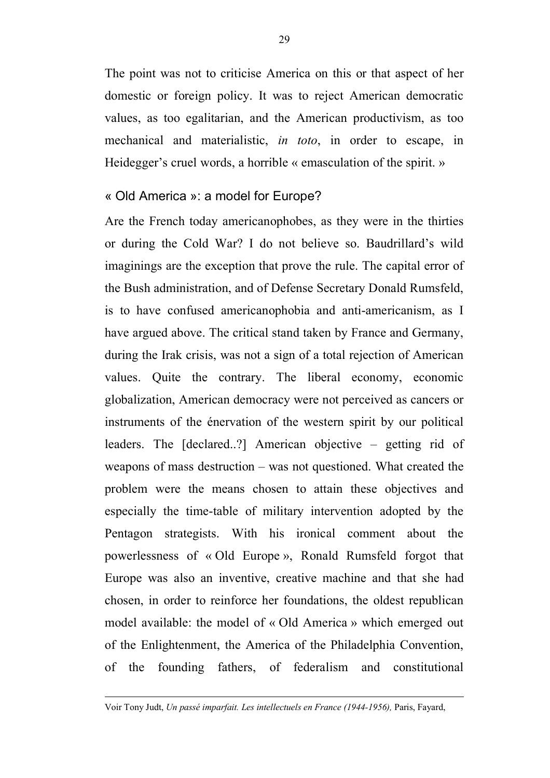The point was not to criticise America on this or that aspect of her domestic or foreign policy. It was to reject American democratic values, as too egalitarian, and the American productivism, as too mechanical and materialistic, *in toto*, in order to escape, in Heidegger's cruel words, a horrible « emasculation of the spirit. »

#### « Old America »: a model for Europe?

Are the French today americanophobes, as they were in the thirties or during the Cold War? I do not believe so. Baudrillard's wild imaginings are the exception that prove the rule. The capital error of the Bush administration, and of Defense Secretary Donald Rumsfeld, is to have confused americanophobia and anti-americanism, as I have argued above. The critical stand taken by France and Germany, during the Irak crisis, was not a sign of a total rejection of American values. Quite the contrary. The liberal economy, economic globalization, American democracy were not perceived as cancers or instruments of the énervation of the western spirit by our political leaders. The [declared..?] American objective – getting rid of weapons of mass destruction – was not questioned. What created the problem were the means chosen to attain these objectives and especially the time-table of military intervention adopted by the Pentagon strategists. With his ironical comment about the powerlessness of « Old Europe », Ronald Rumsfeld forgot that Europe was also an inventive, creative machine and that she had chosen, in order to reinforce her foundations, the oldest republican model available: the model of « Old America » which emerged out of the Enlightenment, the America of the Philadelphia Convention, of the founding fathers, of federalism and constitutional

 $\overline{a}$ 

Voir Tony Judt, *Un passé imparfait. Les intellectuels en France (1944-1956),* Paris, Fayard,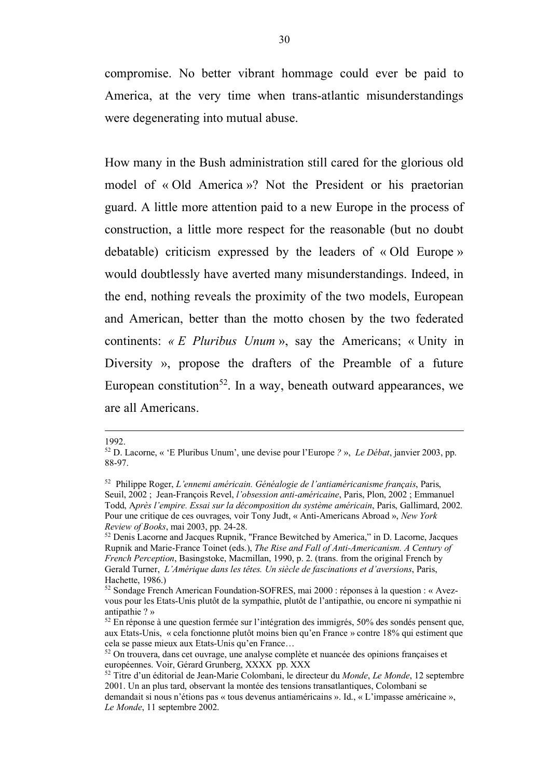compromise. No better vibrant hommage could ever be paid to America, at the very time when trans-atlantic misunderstandings were degenerating into mutual abuse.

How many in the Bush administration still cared for the glorious old model of « Old America »? Not the President or his praetorian guard. A little more attention paid to a new Europe in the process of construction, a little more respect for the reasonable (but no doubt debatable) criticism expressed by the leaders of « Old Europe » would doubtlessly have averted many misunderstandings. Indeed, in the end, nothing reveals the proximity of the two models, European and American, better than the motto chosen by the two federated continents: *« E Pluribus Unum* », say the Americans; « Unity in Diversity », propose the drafters of the Preamble of a future European constitution<sup>52</sup>. In a way, beneath outward appearances, we are all Americans.

1992.

 $\overline{a}$ 

<sup>52</sup> D. Lacorne, « 'E Pluribus Unum', une devise pour l'Europe *?* », *Le Débat*, janvier 2003, pp. 88-97.

<sup>52</sup> Philippe Roger, *L'ennemi américain. Généalogie de l'antiaméricanisme français*, Paris, Seuil, 2002 ; Jean-François Revel, *l'obsession anti-américaine*, Paris, Plon, 2002 ; Emmanuel Todd, A*près l'empire. Essai sur la décomposition du système américain*, Paris, Gallimard, 2002. Pour une critique de ces ouvrages, voir Tony Judt, « Anti-Americans Abroad », *New York Review of Books*, mai 2003, pp. 24-28.

<sup>52</sup> Denis Lacorne and Jacques Rupnik, "France Bewitched by America," in D. Lacorne, Jacques Rupnik and Marie-France Toinet (eds.), *The Rise and Fall of Anti-Americanism. A Century of French Perception*, Basingstoke, Macmillan, 1990, p. 2. (trans. from the original French by Gerald Turner, *L'Amérique dans les têtes. Un siècle de fascinations et d'aversions*, Paris, Hachette, 1986.)

<sup>52</sup> Sondage French American Foundation-SOFRES, mai 2000 : réponses à la question : « Avezvous pour les Etats-Unis plutôt de la sympathie, plutôt de l'antipathie, ou encore ni sympathie ni antipathie ? »<br><sup>52</sup> En réponse à une question fermée sur l'intégration des immigrés, 50% des sondés pensent que,

aux Etats-Unis, « cela fonctionne plutôt moins bien qu'en France » contre 18% qui estiment que

cela se passe mieux aux Etats-Unis qu'en France…<br><sup>52</sup> On trouvera, dans cet ouvrage, une analyse complète et nuancée des opinions françaises et européennes. Voir, Gérard Grunberg, XXXX pp. XXX

<sup>&</sup>lt;sup>52</sup> Titre d'un éditorial de Jean-Marie Colombani, le directeur du *Monde*, *Le Monde*, 12 septembre 2001. Un an plus tard, observant la montée des tensions transatlantiques, Colombani se demandait si nous n'étions pas « tous devenus antiaméricains ». Id., « L'impasse américaine », *Le Monde*, 11 septembre 2002.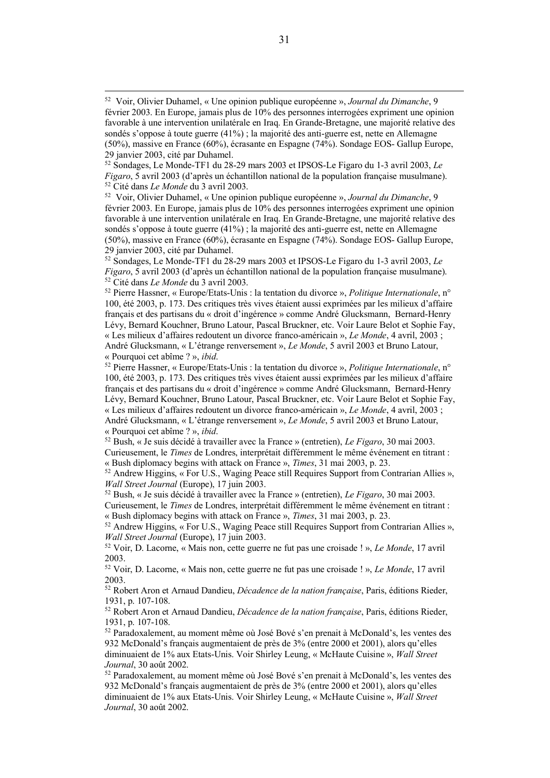février 2003. En Europe, jamais plus de 10% des personnes interrogées expriment une opinion favorable à une intervention unilatérale en Iraq. En Grande-Bretagne, une majorité relative des sondés s'oppose à toute guerre (41%) ; la majorité des anti-guerre est, nette en Allemagne (50%), massive en France (60%), écrasante en Espagne (74%). Sondage EOS- Gallup Europe, 29 janvier 2003, cité par Duhamel.

<sup>52</sup> Sondages, Le Monde-TF1 du 28-29 mars 2003 et IPSOS-Le Figaro du 1-3 avril 2003, *Le Figaro*, 5 avril 2003 (d'après un échantillon national de la population française musulmane).<br><sup>52</sup> Cité dans *Le Monde* du 3 avril 2003.<br><sup>52</sup> Pierre Hassner. « Europe/Etats-Unis : la tentation du divorce ». *Politique In* 

100, été 2003, p. 173. Des critiques très vives étaient aussi exprimées par les milieux d'affaire français et des partisans du « droit d'ingérence » comme André Glucksmann, Bernard-Henry Lévy, Bernard Kouchner, Bruno Latour, Pascal Bruckner, etc. Voir Laure Belot et Sophie Fay, « Les milieux d'affaires redoutent un divorce franco-américain », *Le Monde*, 4 avril, 2003 ; André Glucksmann, « L'étrange renversement », *Le Monde*, 5 avril 2003 et Bruno Latour,

« Pourquoi cet abîme ? », *ibid*. 52 Pierre Hassner, « Europe/Etats-Unis : la tentation du divorce », *Politique Internationale*, n° 100, été 2003, p. 173. Des critiques très vives étaient aussi exprimées par les milieux d'affaire français et des partisans du « droit d'ingérence » comme André Glucksmann, Bernard-Henry Lévy, Bernard Kouchner, Bruno Latour, Pascal Bruckner, etc. Voir Laure Belot et Sophie Fay, « Les milieux d'affaires redoutent un divorce franco-américain », *Le Monde*, 4 avril, 2003 ; André Glucksmann, « L'étrange renversement », *Le Monde*, 5 avril 2003 et Bruno Latour, « Pourquoi cet abîme ? », *ibid*. 52 Bush, « Je suis décidé à travailler avec la France » (entretien), *Le Figaro*, 30 mai 2003.

Curieusement, le *Times* de Londres, interprétait différemment le même événement en titrant :

« Bush diplomacy begins with attack on France », *Times*, 31 mai 2003, p. 23.  $52$  Andrew Higgins, « For U.S., Waging Peace still Requires Support from Contrarian Allies »,

*Wall Street Journal* (Europe), 17 juin 2003.

<sup>52</sup> Bush, « Je suis décidé à travailler avec la France » (entretien), *Le Figaro*, 30 mai 2003. Curieusement, le *Times* de Londres, interprétait différemment le même événement en titrant : « Bush diplomacy begins with attack on France », *Times*, 31 mai 2003, p. 23.

<sup>52</sup> Andrew Higgins, « For U.S., Waging Peace still Requires Support from Contrarian Allies », *Wall Street Journal* (Europe), 17 juin 2003.

<sup>52</sup> Voir, D. Lacorne, « Mais non, cette guerre ne fut pas une croisade ! », *Le Monde*, 17 avril 2003.

<sup>52</sup> Voir, D. Lacorne, « Mais non, cette guerre ne fut pas une croisade ! », *Le Monde*, 17 avril 2003.

<sup>52</sup> Robert Aron et Arnaud Dandieu, *Décadence de la nation française*, Paris, éditions Rieder, 1931, p. 107-108.

<sup>52</sup> Robert Aron et Arnaud Dandieu, *Décadence de la nation française*, Paris, éditions Rieder, 1931, p. 107-108.

<sup>52</sup> Paradoxalement, au moment même où José Bové s'en prenait à McDonald's, les ventes des 932 McDonald's français augmentaient de près de 3% (entre 2000 et 2001), alors qu'elles diminuaient de 1% aux Etats-Unis. Voir Shirley Leung, « McHaute Cuisine », *Wall Street Journal*, 30 août 2002.

<sup>52</sup> Paradoxalement, au moment même où José Bové s'en prenait à McDonald's, les ventes des 932 McDonald's français augmentaient de près de 3% (entre 2000 et 2001), alors qu'elles diminuaient de 1% aux Etats-Unis. Voir Shirley Leung, « McHaute Cuisine », *Wall Street Journal*, 30 août 2002.

 <sup>52</sup> Voir, Olivier Duhamel, « Une opinion publique européenne », *Journal du Dimanche*, 9 février 2003. En Europe, jamais plus de 10% des personnes interrogées expriment une opinion favorable à une intervention unilatérale en Iraq. En Grande-Bretagne, une majorité relative des sondés s'oppose à toute guerre (41%) ; la majorité des anti-guerre est, nette en Allemagne (50%), massive en France (60%), écrasante en Espagne (74%). Sondage EOS- Gallup Europe, 29 janvier 2003, cité par Duhamel.

<sup>52</sup> Sondages, Le Monde-TF1 du 28-29 mars 2003 et IPSOS-Le Figaro du 1-3 avril 2003, *Le Figaro,* 5 avril 2003 (d'après un échantillon national de la population française musulmane).<br><sup>52</sup> Cité dans *Le Monde* du 3 avril 2003.<br><sup>52</sup> Voir, Olivier Duhamel, « Une opinion publique européenne », *Journal du Dimanch*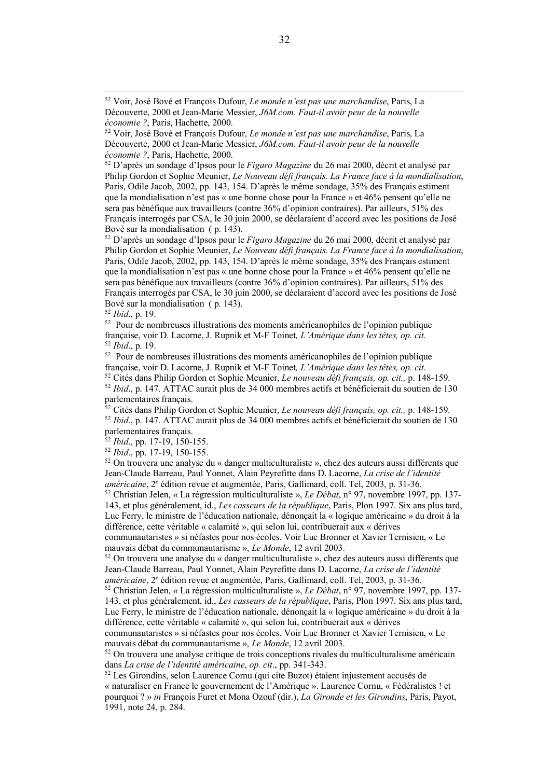<sup>52</sup> D'après un sondage d'Ipsos pour le *Figaro Magazine* du 26 mai 2000, décrit et analysé par Philip Gordon et Sophie Meunier, *Le Nouveau défi français. La France face à la mondialisation*, Paris, Odile Jacob, 2002, pp. 143, 154. D'après le même sondage, 35% des Français estiment que la mondialisation n'est pas « une bonne chose pour la France » et 46% pensent qu'elle ne sera pas bénéfique aux travailleurs (contre 36% d'opinion contraires). Par ailleurs, 51% des Français interrogés par CSA, le 30 juin 2000, se déclaraient d'accord avec les positions de José Bové sur la mondialisation ( p. 143).

<sup>52</sup> D'après un sondage d'Ipsos pour le *Figaro Magazine* du 26 mai 2000, décrit et analysé par Philip Gordon et Sophie Meunier, *Le Nouveau défi français. La France face à la mondialisation*, Paris, Odile Jacob, 2002, pp. 143, 154. D'après le même sondage, 35% des Français estiment que la mondialisation n'est pas « une bonne chose pour la France » et 46% pensent qu'elle ne sera pas bénéfique aux travailleurs (contre 36% d'opinion contraires). Par ailleurs, 51% des Français interrogés par CSA, le 30 juin 2000, se déclaraient d'accord avec les positions de José Bové sur la mondialisation ( p. 143).

<sup>52</sup> *Ibid*., p. 19.

52 Pour de nombreuses illustrations des moments américanophiles de l'opinion publique française, voir D. Lacorne, J. Rupnik et M-F Toinet*, L'Amérique dans les têtes, op. cit*. 52 *Ibid*., p. 19.

52 Pour de nombreuses illustrations des moments américanophiles de l'opinion publique française, voir D. Lacorne, J. Rupnik et M-F Toinet*, L'Amérique dans les têtes, op. cit*. 52 Cités dans Philip Gordon et Sophie Meunier, *Le nouveau défi français, op. cit.,* p. 148-159.

<sup>52</sup> *Ibid*., p. 147. ATTAC aurait plus de 34 000 membres actifs et bénéficierait du soutien de 130

parlementaires français.

<sup>52</sup> Cités dans Philip Gordon et Sophie Meunier, *Le nouveau défi français, op. cit.,* p. 148-159. <sup>52</sup> *Ibid*., p. 147. ATTAC aurait plus de 34 000 membres actifs et bénéficierait du soutien de 130 parlementaires français. 52 *Ibid*., pp. 17-19, 150-155.

<sup>52</sup> *Ibid*., pp. 17-19, 150-155.

 $52$  On trouvera une analyse du « danger multiculturaliste », chez des auteurs aussi différents que Jean-Claude Barreau, Paul Yonnet, Alain Peyrefitte dans D. Lacorne, *La crise de l'identité américaine*, 2<sup>e</sup> édition revue et augmentée, Paris, Gallimard, coll. Tel, 2003, p. 31-36.<br><sup>52</sup> Christian Jelen, « La régression multiculturaliste », *Le Débat*, n° 97, novembre 1997, pp. 137-

143, et plus généralement, id., *Les casseurs de la république*, Paris, Plon 1997. Six ans plus tard, Luc Ferry, le ministre de l'éducation nationale, dénonçait la « logique américaine » du droit à la différence, cette véritable « calamité », qui selon lui, contribuerait aux « dérives

communautaristes » si néfastes pour nos écoles. Voir Luc Bronner et Xavier Ternisien, « Le mauvais débat du communautarisme », *Le Monde*, 12 avril 2003.

 $52$  On trouvera une analyse du « danger multiculturaliste », chez des auteurs aussi différents que Jean-Claude Barreau, Paul Yonnet, Alain Peyrefitte dans D. Lacorne, *La crise de l'identité américaine*, 2<sup>e</sup> édition revue et augmentée, Paris, Gallimard, coll. Tel, 2003, p. 31-36.<br><sup>52</sup> Christian Jelen, « La régression multiculturaliste », *Le Débat*, n° 97, novembre 1997, pp. 137-

143, et plus généralement, id., *Les casseurs de la république*, Paris, Plon 1997. Six ans plus tard, Luc Ferry, le ministre de l'éducation nationale, dénonçait la « logique américaine » du droit à la différence, cette véritable « calamité », qui selon lui, contribuerait aux « dérives

communautaristes » si néfastes pour nos écoles. Voir Luc Bronner et Xavier Ternisien, « Le mauvais débat du communautarisme », *Le Monde*, 12 avril 2003.

 $52$  On trouvera une analyse critique de trois conceptions rivales du multiculturalisme américain dans *La crise de l'identité américaine*, *op. cit*., pp. 341-343.

<sup>52</sup> Les Girondins, selon Laurence Cornu (qui cite Buzot) étaient injustement accusés de « naturaliser en France le gouvernement de l'Amérique ». Laurence Cornu, « Fédéralistes ! et pourquoi ? » *in* François Furet et Mona Ozouf (dir.), *La Gironde et les Girondins*, Paris, Payot, 1991, note 24, p. 284.

 <sup>52</sup> Voir, José Bové et François Dufour, *Le monde n'est pas une marchandise*, Paris, La Découverte, 2000 et Jean-Marie Messier, *J6M.com*. *Faut-il avoir peur de la nouvelle économie ?*, Paris, Hachette, 2000.

<sup>52</sup> Voir, José Bové et François Dufour, *Le monde n'est pas une marchandise*, Paris, La Découverte, 2000 et Jean-Marie Messier, *J6M.com*. *Faut-il avoir peur de la nouvelle économie ?*, Paris, Hachette, 2000.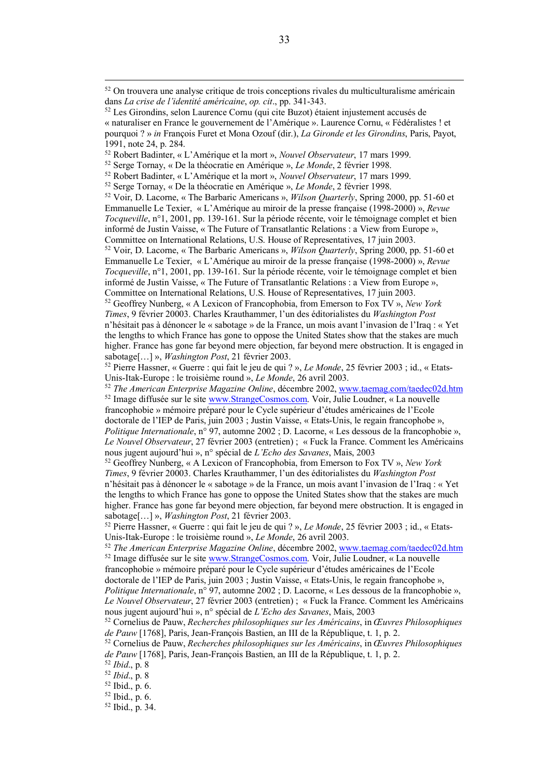<sup>52</sup> *The American Enterprise Magazine Online*, décembre 2002, www.taemag.com/taedec02d.htm <sup>52</sup> Image diffusée sur le site www.StrangeCosmos.com. Voir, Julie Loudner, « La nouvelle francophobie » mémoire préparé pour le Cycle supérieur d'études américaines de l'Ecole doctorale de l'IEP de Paris, juin 2003 ; Justin Vaisse, « Etats-Unis, le regain francophobe », *Politique Internationale*, n° 97, automne 2002 ; D. Lacorne, « Les dessous de la francophobie », *Le Nouvel Observateur*, 27 février 2003 (entretien) ; « Fuck la France. Comment les Américains nous jugent aujourd'hui », n° spécial de *L'Echo des Savanes*, Mais, 2003

<sup>52</sup> Geoffrey Nunberg, « A Lexicon of Francophobia, from Emerson to Fox TV », *New York Times*, 9 février 20003. Charles Krauthammer, l'un des éditorialistes du *Washington Post*  n'hésitait pas à dénoncer le « sabotage » de la France, un mois avant l'invasion de l'Iraq : « Yet the lengths to which France has gone to oppose the United States show that the stakes are much higher. France has gone far beyond mere objection, far beyond mere obstruction. It is engaged in sabotage[…] », *Washington Post*, 21 février 2003.

<sup>52</sup> Pierre Hassner, « Guerre : qui fait le jeu de qui ? », *Le Monde*, 25 février 2003 ; id., « Etats-Unis-Itak-Europe : le troisième round », *Le Monde*, 26 avril 2003.

<sup>52</sup> *The American Enterprise Magazine Online*, décembre 2002, www.taemag.com/taedec02d.htm <sup>52</sup> Image diffusée sur le site www.StrangeCosmos.com. Voir, Julie Loudner, « La nouvelle francophobie » mémoire préparé pour le Cycle supérieur d'études américaines de l'Ecole

doctorale de l'IEP de Paris, juin 2003 ; Justin Vaisse, « Etats-Unis, le regain francophobe », *Politique Internationale*, n° 97, automne 2002 ; D. Lacorne, « Les dessous de la francophobie », *Le Nouvel Observateur*, 27 février 2003 (entretien) ; « Fuck la France. Comment les Américains nous jugent aujourd'hui », n° spécial de *L'Echo des Savanes*, Mais, 2003

<sup>52</sup> *Ibid*., p. 8

 $52$  On trouvera une analyse critique de trois conceptions rivales du multiculturalisme américain dans *La crise de l'identité américaine*, *op. cit*., pp. 341-343.

<sup>52</sup> Les Girondins, selon Laurence Cornu (qui cite Buzot) étaient injustement accusés de « naturaliser en France le gouvernement de l'Amérique ». Laurence Cornu, « Fédéralistes ! et pourquoi ? » *in* François Furet et Mona Ozouf (dir.), *La Gironde et les Girondins*, Paris, Payot, 1991, note 24, p. 284.

<sup>52</sup> Robert Badinter, « L'Amérique et la mort », *Nouvel Observateur*, 17 mars 1999.

<sup>52</sup> Serge Tornay, « De la théocratie en Amérique », *Le Monde*, 2 février 1998.

<sup>52</sup> Robert Badinter, « L'Amérique et la mort », *Nouvel Observateur*, 17 mars 1999.

<sup>52</sup> Serge Tornay, « De la théocratie en Amérique », *Le Monde*, 2 février 1998.

<sup>52</sup> Voir, D. Lacorne, « The Barbaric Americans », *Wilson Quarterly*, Spring 2000, pp. 51-60 et Emmanuelle Le Texier, « L'Amérique au miroir de la presse française (1998-2000) », *Revue Tocqueville*, n°1, 2001, pp. 139-161. Sur la période récente, voir le témoignage complet et bien informé de Justin Vaisse, « The Future of Transatlantic Relations : a View from Europe », Committee on International Relations, U.S. House of Representatives, 17 juin 2003.

<sup>52</sup> Voir, D. Lacorne, « The Barbaric Americans », *Wilson Quarterly*, Spring 2000, pp. 51-60 et Emmanuelle Le Texier, « L'Amérique au miroir de la presse française (1998-2000) », *Revue Tocqueville*, n°1, 2001, pp. 139-161. Sur la période récente, voir le témoignage complet et bien informé de Justin Vaisse, « The Future of Transatlantic Relations : a View from Europe », Committee on International Relations, U.S. House of Representatives, 17 juin 2003.

<sup>52</sup> Geoffrey Nunberg, « A Lexicon of Francophobia, from Emerson to Fox TV », *New York Times*, 9 février 20003. Charles Krauthammer, l'un des éditorialistes du *Washington Post*  n'hésitait pas à dénoncer le « sabotage » de la France, un mois avant l'invasion de l'Iraq : « Yet the lengths to which France has gone to oppose the United States show that the stakes are much higher. France has gone far beyond mere objection, far beyond mere obstruction. It is engaged in sabotage[…] », *Washington Post*, 21 février 2003.

<sup>52</sup> Pierre Hassner, « Guerre : qui fait le jeu de qui ? », *Le Monde*, 25 février 2003 ; id., « Etats-Unis-Itak-Europe : le troisième round », *Le Monde*, 26 avril 2003.

<sup>52</sup> Cornelius de Pauw, *Recherches philosophiques sur les Américains*, in *Œuvres Philosophiques de Pauw* [1768], Paris, Jean-François Bastien, an III de la République, t. 1, p. 2.

<sup>52</sup> Cornelius de Pauw, *Recherches philosophiques sur les Américains*, in *Œuvres Philosophiques de Pauw* [1768], Paris, Jean-François Bastien, an III de la République, t. 1, p. 2.

<sup>52</sup> *Ibid*., p. 8

 $52$  Ibid., p. 6.  $52$  Ibid., p. 34.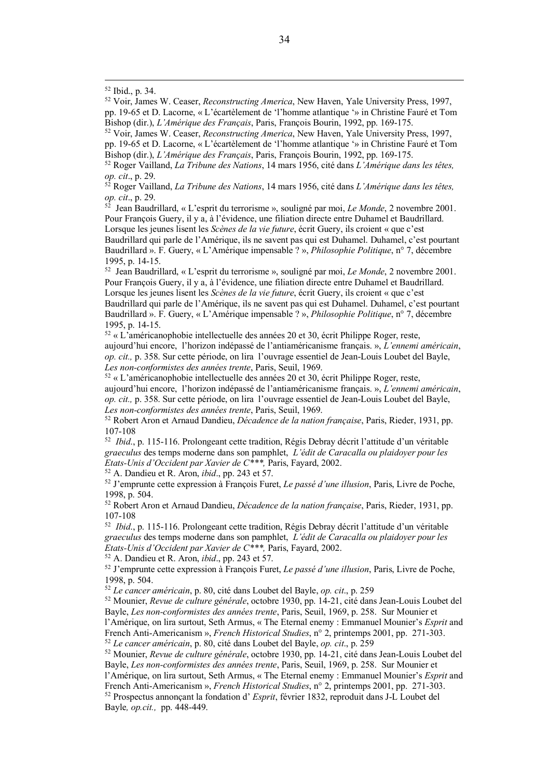*op. cit.*, p. 29.<br><sup>52</sup> Roger Vailland, *La Tribune des Nations*, 14 mars 1956, cité dans *L'Amérique dans les têtes*,

*op. cit*., p. 29. 52 Jean Baudrillard, « L'esprit du terrorisme », souligné par moi, *Le Monde*, 2 novembre 2001.

Pour François Guery, il y a, à l'évidence, une filiation directe entre Duhamel et Baudrillard. Lorsque les jeunes lisent les *Scènes de la vie future*, écrit Guery, ils croient « que c'est Baudrillard qui parle de l'Amérique, ils ne savent pas qui est Duhamel. Duhamel, c'est pourtant Baudrillard ». F. Guery, « L'Amérique impensable ? », *Philosophie Politique*, n° 7, décembre 1995, p. 14-15.

52 Jean Baudrillard, « L'esprit du terrorisme », souligné par moi, *Le Monde*, 2 novembre 2001. Pour François Guery, il y a, à l'évidence, une filiation directe entre Duhamel et Baudrillard. Lorsque les jeunes lisent les *Scènes de la vie future*, écrit Guery, ils croient « que c'est Baudrillard qui parle de l'Amérique, ils ne savent pas qui est Duhamel. Duhamel, c'est pourtant Baudrillard ». F. Guery, « L'Amérique impensable ? », *Philosophie Politique*, n° 7, décembre 1995, p. 14-15.

 $52 \times L$ <sup>2</sup> américanophobie intellectuelle des années 20 et 30, écrit Philippe Roger, reste, aujourd'hui encore, l'horizon indépassé de l'antiaméricanisme français. », *L'ennemi américain*, *op. cit.,* p. 358. Sur cette période, on lira l'ouvrage essentiel de Jean-Louis Loubet del Bayle, *Les non-conformistes des années trente*, Paris, Seuil, 1969.

 $52 \times L$ 'américanophobie intellectuelle des années 20 et 30, écrit Philippe Roger, reste, aujourd'hui encore, l'horizon indépassé de l'antiaméricanisme français. », *L'ennemi américain*, *op. cit.,* p. 358. Sur cette période, on lira l'ouvrage essentiel de Jean-Louis Loubet del Bayle, *Les non-conformistes des années trente*, Paris, Seuil, 1969.

<sup>52</sup> Robert Aron et Arnaud Dandieu, *Décadence de la nation française*, Paris, Rieder, 1931, pp. 107-108

52 *Ibid*., p. 115-116. Prolongeant cette tradition, Régis Debray décrit l'attitude d'un véritable *graeculus* des temps moderne dans son pamphlet, *L'édit de Caracalla ou plaidoyer pour les Etats-Unis d'Occident par Xavier de C\*\*\*,* Paris, Fayard, 2002.

<sup>52</sup> A. Dandieu et R. Aron, *ibid*., pp. 243 et 57.

<sup>52</sup> J'emprunte cette expression à François Furet, *Le passé d'une illusion*, Paris, Livre de Poche, 1998, p. 504.

<sup>52</sup> Robert Aron et Arnaud Dandieu, *Décadence de la nation française*, Paris, Rieder, 1931, pp. 107-108

52 *Ibid*., p. 115-116. Prolongeant cette tradition, Régis Debray décrit l'attitude d'un véritable *graeculus* des temps moderne dans son pamphlet, *L'édit de Caracalla ou plaidoyer pour les Etats-Unis d'Occident par Xavier de C\*\*\*,* Paris, Fayard, 2002.

<sup>52</sup> A. Dandieu et R. Aron, *ibid*., pp. 243 et 57.

<sup>52</sup> J'emprunte cette expression à François Furet, *Le passé d'une illusion*, Paris, Livre de Poche, 1998, p. 504.

<sup>52</sup> *Le cancer américain*, p. 80, cité dans Loubet del Bayle, *op. cit*., p. 259

<sup>52</sup> Mounier, *Revue de culture générale*, octobre 1930, pp. 14-21, cité dans Jean-Louis Loubet del Bayle, *Les non-conformistes des années trente*, Paris, Seuil, 1969, p. 258. Sur Mounier et l'Amérique, on lira surtout, Seth Armus, « The Eternal enemy : Emmanuel Mounier's *Esprit* and

French Anti-Americanism », *French Historical Studies*, n° 2, printemps 2001, pp. 271-303.

<sup>52</sup> *Le cancer américain*, p. 80, cité dans Loubet del Bayle, *op. cit*., p. 259

<sup>52</sup> Mounier, *Revue de culture générale*, octobre 1930, pp. 14-21, cité dans Jean-Louis Loubet del Bayle, *Les non-conformistes des années trente*, Paris, Seuil, 1969, p. 258. Sur Mounier et l'Amérique, on lira surtout, Seth Armus, « The Eternal enemy : Emmanuel Mounier's *Esprit* and French Anti-Americanism », *French Historical Studies*, n° 2, printemps 2001, pp. 271-303.

<sup>52</sup> Prospectus annonçant la fondation d' *Esprit*, février 1832, reproduit dans J-L Loubet del Bayle*, op.cit.,* pp. 448-449.

<sup>52</sup> Ibid., p. 34. 52 Voir, James W. Ceaser, *Reconstructing America*, New Haven, Yale University Press, 1997, pp. 19-65 et D. Lacorne, « L'écartèlement de 'l'homme atlantique '» in Christine Fauré et Tom Bishop (dir.), *L'Amérique des Français*, Paris, François Bourin, 1992, pp. 169-175. 52 Voir, James W. Ceaser, *Reconstructing America*, New Haven, Yale University Press, 1997,

pp. 19-65 et D. Lacorne, « L'écartèlement de 'l'homme atlantique '» in Christine Fauré et Tom Bishop (dir.), *L'Amérique des Français*, Paris, François Bourin, 1992, pp. 169-175. 52 Roger Vailland, *La Tribune des Nations*, 14 mars 1956, cité dans *L'Amérique dans les têtes,*